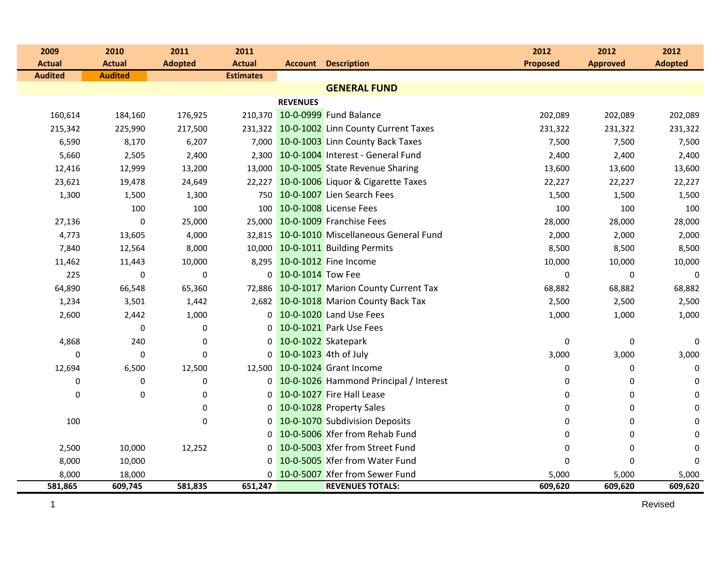| 2009             | 2010             | 2011           | 2011             |                         |                                             | 2012            | 2012            | 2012           |
|------------------|------------------|----------------|------------------|-------------------------|---------------------------------------------|-----------------|-----------------|----------------|
| <b>Actual</b>    | <b>Actual</b>    | <b>Adopted</b> | <b>Actual</b>    | Account                 | <b>Description</b>                          | <b>Proposed</b> | <b>Approved</b> | <b>Adopted</b> |
| <b>Audited</b>   | <b>Audited</b>   |                | <b>Estimates</b> |                         |                                             |                 |                 |                |
|                  |                  |                |                  |                         | <b>GENERAL FUND</b>                         |                 |                 |                |
|                  |                  |                |                  | <b>REVENUES</b>         |                                             |                 |                 |                |
| 160,614          | 184,160          | 176,925        |                  |                         | 210,370 10-0-0999 Fund Balance              | 202,089         | 202,089         | 202,089        |
| 215,342          | 225,990          | 217,500        |                  |                         | 231,322 10-0-1002 Linn County Current Taxes | 231,322         | 231,322         | 231,322        |
| 6,590            | 8,170            | 6,207          |                  |                         | 7,000 10-0-1003 Linn County Back Taxes      | 7,500           | 7,500           | 7,500          |
| 5,660            | 2,505            | 2,400          |                  |                         | 2,300 10-0-1004 Interest - General Fund     | 2,400           | 2,400           | 2,400          |
| 12,416           | 12,999           | 13,200         |                  |                         | 13,000 10-0-1005 State Revenue Sharing      | 13,600          | 13,600          | 13,600         |
| 23,621           | 19,478           | 24,649         |                  |                         | 22,227 10-0-1006 Liquor & Cigarette Taxes   | 22,227          | 22,227          | 22,227         |
| 1,300            | 1,500            | 1,300          |                  |                         | 750 10-0-1007 Lien Search Fees              | 1,500           | 1,500           | 1,500          |
|                  | 100              | 100            | 100              |                         | 10-0-1008 License Fees                      | 100             | 100             | 100            |
| 27,136           | $\mathbf 0$      | 25,000         |                  |                         | 25,000 10-0-1009 Franchise Fees             | 28,000          | 28,000          | 28,000         |
| 4,773            | 13,605           | 4,000          |                  |                         | 32,815 10-0-1010 Miscellaneous General Fund | 2,000           | 2,000           | 2,000          |
| 7,840            | 12,564           | 8,000          |                  |                         | 10,000 10-0-1011 Building Permits           | 8,500           | 8,500           | 8,500          |
| 11,462           | 11,443           | 10,000         |                  |                         | 8,295 10-0-1012 Fine Income                 | 10,000          | 10,000          | 10,000         |
| 225              | $\mathbf 0$      | $\mathbf 0$    |                  | 0 10-0-1014 Tow Fee     |                                             | 0               | 0               | $\mathbf 0$    |
| 64,890           | 66,548           | 65,360         |                  |                         | 72,886 10-0-1017 Marion County Current Tax  | 68,882          | 68,882          | 68,882         |
| 1,234            | 3,501            | 1,442          |                  |                         | 2,682 10-0-1018 Marion County Back Tax      | 2,500           | 2,500           | 2,500          |
| 2,600            | 2,442            | 1,000          |                  |                         | 0 10-0-1020 Land Use Fees                   | 1,000           | 1,000           | 1,000          |
|                  | $\mathbf 0$      | $\mathbf 0$    |                  |                         | 0 10-0-1021 Park Use Fees                   |                 |                 |                |
| 4,868            | 240              | $\mathbf 0$    |                  | 0 10-0-1022 Skatepark   |                                             | 0               | $\mathbf 0$     | $\mathbf 0$    |
| $\pmb{0}$        | $\pmb{0}$        | $\mathbf 0$    |                  | 0 10-0-1023 4th of July |                                             | 3,000           | 3,000           | 3,000          |
| 12,694           | 6,500            | 12,500         |                  |                         | 12,500 10-0-1024 Grant Income               | 0               | 0               | $\mathbf 0$    |
| $\boldsymbol{0}$ | $\boldsymbol{0}$ | $\pmb{0}$      |                  |                         | 0 10-0-1026 Hammond Principal / Interest    | 0               | 0               | 0              |
| 0                | 0                | $\mathbf 0$    |                  |                         | 0 10-0-1027 Fire Hall Lease                 | 0               | 0               | $\mathbf 0$    |
|                  |                  | $\pmb{0}$      | 0 <sup>1</sup>   |                         | 10-0-1028 Property Sales                    | 0               | 0               | 0              |
| 100              |                  | $\mathbf 0$    | 0 <sup>1</sup>   |                         | 10-0-1070 Subdivision Deposits              | 0               | 0               | $\mathbf 0$    |
|                  |                  |                |                  |                         | 0 10-0-5006 Xfer from Rehab Fund            | 0               | 0               | 0              |
| 2,500            | 10,000           | 12,252         | 0                |                         | 10-0-5003 Xfer from Street Fund             | 0               | 0               | $\mathbf 0$    |
| 8,000            | 10,000           |                | 0 <sup>1</sup>   |                         | 10-0-5005 Xfer from Water Fund              | 0               | 0               | $\mathbf{0}$   |
| 8,000            | 18,000           |                |                  |                         | 0 10-0-5007 Xfer from Sewer Fund            | 5,000           | 5,000           | 5,000          |
| 581,865          | 609,745          | 581,835        | 651,247          |                         | <b>REVENUES TOTALS:</b>                     | 609,620         | 609,620         | 609,620        |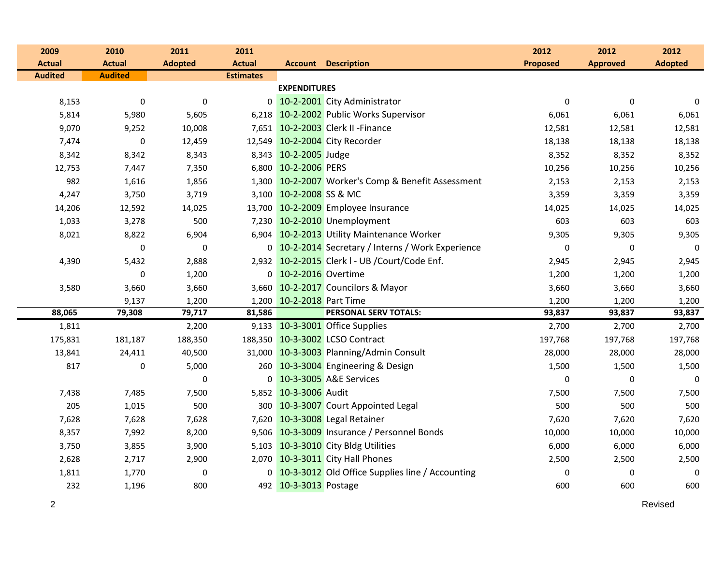| 2009           | 2010           | 2011             | 2011             |                           |                                                    | 2012            | 2012            | 2012             |
|----------------|----------------|------------------|------------------|---------------------------|----------------------------------------------------|-----------------|-----------------|------------------|
| <b>Actual</b>  | <b>Actual</b>  | <b>Adopted</b>   | <b>Actual</b>    |                           | <b>Account Description</b>                         | <b>Proposed</b> | <b>Approved</b> | <b>Adopted</b>   |
| <b>Audited</b> | <b>Audited</b> |                  | <b>Estimates</b> |                           |                                                    |                 |                 |                  |
|                |                |                  |                  | <b>EXPENDITURES</b>       |                                                    |                 |                 |                  |
| 8,153          | $\mathbf 0$    | $\boldsymbol{0}$ |                  |                           | 0 10-2-2001 City Administrator                     | 0               | 0               | 0                |
| 5,814          | 5,980          | 5,605            |                  |                           | 6,218 10-2-2002 Public Works Supervisor            | 6,061           | 6,061           | 6,061            |
| 9,070          | 9,252          | 10,008           |                  |                           | 7,651 10-2-2003 Clerk II - Finance                 | 12,581          | 12,581          | 12,581           |
| 7,474          | 0              | 12,459           |                  |                           | 12,549 10-2-2004 City Recorder                     | 18,138          | 18,138          | 18,138           |
| 8,342          | 8,342          | 8,343            |                  | 8,343 10-2-2005 Judge     |                                                    | 8,352           | 8,352           | 8,352            |
| 12,753         | 7,447          | 7,350            |                  | 6,800 10-2-2006 PERS      |                                                    | 10,256          | 10,256          | 10,256           |
| 982            | 1,616          | 1,856            |                  |                           | 1,300 10-2-2007 Worker's Comp & Benefit Assessment | 2,153           | 2,153           | 2,153            |
| 4,247          | 3,750          | 3,719            |                  | 3,100 10-2-2008 SS & MC   |                                                    | 3,359           | 3,359           | 3,359            |
| 14,206         | 12,592         | 14,025           |                  |                           | 13,700 10-2-2009 Employee Insurance                | 14,025          | 14,025          | 14,025           |
| 1,033          | 3,278          | 500              |                  |                           | 7,230 10-2-2010 Unemployment                       | 603             | 603             | 603              |
| 8,021          | 8,822          | 6,904            |                  |                           | 6,904 10-2-2013 Utility Maintenance Worker         | 9,305           | 9,305           | 9,305            |
|                | $\pmb{0}$      | $\mathbf 0$      |                  |                           | 0 10-2-2014 Secretary / Interns / Work Experience  | $\mathbf 0$     | 0               | $\boldsymbol{0}$ |
| 4,390          | 5,432          | 2,888            |                  |                           | 2,932 10-2-2015 Clerk I - UB / Court/Code Enf.     | 2,945           | 2,945           | 2,945            |
|                | 0              | 1,200            |                  | 0 10-2-2016 Overtime      |                                                    | 1,200           | 1,200           | 1,200            |
| 3,580          | 3,660          | 3,660            |                  |                           | 3,660 10-2-2017 Councilors & Mayor                 | 3,660           | 3,660           | 3,660            |
|                | 9,137          | 1,200            |                  | 1,200 10-2-2018 Part Time |                                                    | 1,200           | 1,200           | 1,200            |
| 88,065         | 79,308         | 79,717           | 81,586           |                           | PERSONAL SERV TOTALS:                              | 93,837          | 93,837          | 93,837           |
| 1,811          |                | 2,200            |                  |                           | 9,133 10-3-3001 Office Supplies                    | 2,700           | 2,700           | 2,700            |
| 175,831        | 181,187        | 188,350          |                  |                           | 188,350 10-3-3002 LCSO Contract                    | 197,768         | 197,768         | 197,768          |
| 13,841         | 24,411         | 40,500           |                  |                           | 31,000 10-3-3003 Planning/Admin Consult            | 28,000          | 28,000          | 28,000           |
| 817            | 0              | 5,000            |                  |                           | 260 10-3-3004 Engineering & Design                 | 1,500           | 1,500           | 1,500            |
|                |                | $\mathbf 0$      |                  |                           | 0 10-3-3005 A&E Services                           | 0               | 0               | $\boldsymbol{0}$ |
| 7,438          | 7,485          | 7,500            |                  | 5,852 10-3-3006 Audit     |                                                    | 7,500           | 7,500           | 7,500            |
| 205            | 1,015          | 500              |                  |                           | 300 10-3-3007 Court Appointed Legal                | 500             | 500             | 500              |
| 7,628          | 7,628          | 7,628            |                  |                           | 7,620 10-3-3008 Legal Retainer                     | 7,620           | 7,620           | 7,620            |
| 8,357          | 7,992          | 8,200            |                  |                           | 9,506 10-3-3009 Insurance / Personnel Bonds        | 10,000          | 10,000          | 10,000           |
| 3,750          | 3,855          | 3,900            |                  |                           | 5,103 10-3-3010 City Bldg Utilities                | 6,000           | 6,000           | 6,000            |
| 2,628          | 2,717          | 2,900            |                  |                           | 2,070 10-3-3011 City Hall Phones                   | 2,500           | 2,500           | 2,500            |
| 1,811          | 1,770          | $\mathbf 0$      |                  |                           | 0 10-3-3012 Old Office Supplies line / Accounting  | 0               | 0               | 0                |
| 232            | 1,196          | 800              |                  | 492 10-3-3013 Postage     |                                                    | 600             | 600             | 600              |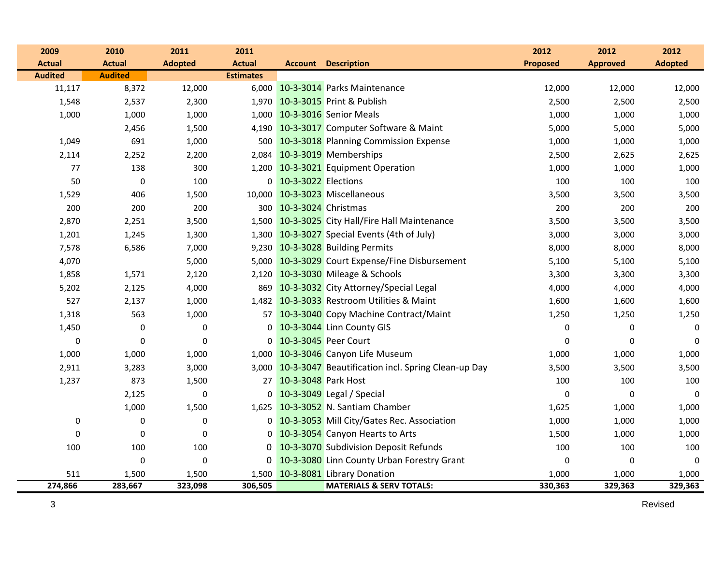| 2009             | 2010             | 2011             | 2011             |                         |                                                          | 2012             | 2012            | 2012           |
|------------------|------------------|------------------|------------------|-------------------------|----------------------------------------------------------|------------------|-----------------|----------------|
| <b>Actual</b>    | <b>Actual</b>    | <b>Adopted</b>   | <b>Actual</b>    |                         | <b>Account Description</b>                               | <b>Proposed</b>  | <b>Approved</b> | <b>Adopted</b> |
| <b>Audited</b>   | <b>Audited</b>   |                  | <b>Estimates</b> |                         |                                                          |                  |                 |                |
| 11,117           | 8,372            | 12,000           | 6,000            |                         | 10-3-3014 Parks Maintenance                              | 12,000           | 12,000          | 12,000         |
| 1,548            | 2,537            | 2,300            |                  |                         | 1,970 10-3-3015 Print & Publish                          | 2,500            | 2,500           | 2,500          |
| 1,000            | 1,000            | 1,000            |                  |                         | 1,000 10-3-3016 Senior Meals                             | 1,000            | 1,000           | 1,000          |
|                  | 2,456            | 1,500            |                  |                         | 4,190 10-3-3017 Computer Software & Maint                | 5,000            | 5,000           | 5,000          |
| 1,049            | 691              | 1,000            | 500              |                         | 10-3-3018 Planning Commission Expense                    | 1,000            | 1,000           | 1,000          |
| 2,114            | 2,252            | 2,200            | 2,084            |                         | 10-3-3019 Memberships                                    | 2,500            | 2,625           | 2,625          |
| 77               | 138              | 300              | 1,200            |                         | 10-3-3021 Equipment Operation                            | 1,000            | 1,000           | 1,000          |
| 50               | $\pmb{0}$        | 100              |                  | 0 10-3-3022 Elections   |                                                          | 100              | 100             | 100            |
| 1,529            | 406              | 1,500            | 10,000           |                         | 10-3-3023 Miscellaneous                                  | 3,500            | 3,500           | 3,500          |
| 200              | 200              | 200              |                  | 300 10-3-3024 Christmas |                                                          | 200              | 200             | 200            |
| 2,870            | 2,251            | 3,500            |                  |                         | 1,500 10-3-3025 City Hall/Fire Hall Maintenance          | 3,500            | 3,500           | 3,500          |
| 1,201            | 1,245            | 1,300            |                  |                         | 1,300 10-3-3027 Special Events (4th of July)             | 3,000            | 3,000           | 3,000          |
| 7,578            | 6,586            | 7,000            |                  |                         | 9,230 10-3-3028 Building Permits                         | 8,000            | 8,000           | 8,000          |
| 4,070            |                  | 5,000            |                  |                         | 5,000 10-3-3029 Court Expense/Fine Disbursement          | 5,100            | 5,100           | 5,100          |
| 1,858            | 1,571            | 2,120            | 2,120            |                         | 10-3-3030 Mileage & Schools                              | 3,300            | 3,300           | 3,300          |
| 5,202            | 2,125            | 4,000            | 869              |                         | 10-3-3032 City Attorney/Special Legal                    | 4,000            | 4,000           | 4,000          |
| 527              | 2,137            | 1,000            |                  |                         | 1,482 10-3-3033 Restroom Utilities & Maint               | 1,600            | 1,600           | 1,600          |
| 1,318            | 563              | 1,000            |                  |                         | 57 10-3-3040 Copy Machine Contract/Maint                 | 1,250            | 1,250           | 1,250          |
| 1,450            | $\boldsymbol{0}$ | 0                |                  |                         | 0 10-3-3044 Linn County GIS                              | 0                | 0               | $\mathbf 0$    |
| $\boldsymbol{0}$ | $\mathbf 0$      | $\boldsymbol{0}$ |                  |                         | 0 10-3-3045 Peer Court                                   | $\Omega$         | $\Omega$        | $\mathbf 0$    |
| 1,000            | 1,000            | 1,000            |                  |                         | 1,000 10-3-3046 Canyon Life Museum                       | 1,000            | 1,000           | 1,000          |
| 2,911            | 3,283            | 3,000            |                  |                         | 3,000 10-3-3047 Beautification incl. Spring Clean-up Day | 3,500            | 3,500           | 3,500          |
| 1,237            | 873              | 1,500            | 27               | 10-3-3048 Park Host     |                                                          | 100              | 100             | 100            |
|                  | 2,125            | $\boldsymbol{0}$ | 0                |                         | 10-3-3049 Legal / Special                                | $\pmb{0}$        | $\mathbf 0$     | $\mathbf 0$    |
|                  | 1,000            | 1,500            | 1,625            |                         | 10-3-3052 N. Santiam Chamber                             | 1,625            | 1,000           | 1,000          |
| $\boldsymbol{0}$ | $\boldsymbol{0}$ | 0                |                  |                         | 0 10-3-3053 Mill City/Gates Rec. Association             | 1,000            | 1,000           | 1,000          |
| $\boldsymbol{0}$ | 0                | $\boldsymbol{0}$ | $\Omega$         |                         | 10-3-3054 Canyon Hearts to Arts                          | 1,500            | 1,000           | 1,000          |
| 100              | 100              | 100              | 0                |                         | 10-3-3070 Subdivision Deposit Refunds                    | 100              | 100             | 100            |
|                  | $\mathbf 0$      | $\boldsymbol{0}$ |                  |                         | 0 10-3-3080 Linn County Urban Forestry Grant             | $\boldsymbol{0}$ | $\Omega$        | $\mathbf 0$    |
| 511              | 1,500            | 1,500            |                  |                         | 1,500 10-3-8081 Library Donation                         | 1,000            | 1,000           | 1,000          |
| 274,866          | 283,667          | 323,098          | 306,505          |                         | <b>MATERIALS &amp; SERV TOTALS:</b>                      | 330,363          | 329,363         | 329,363        |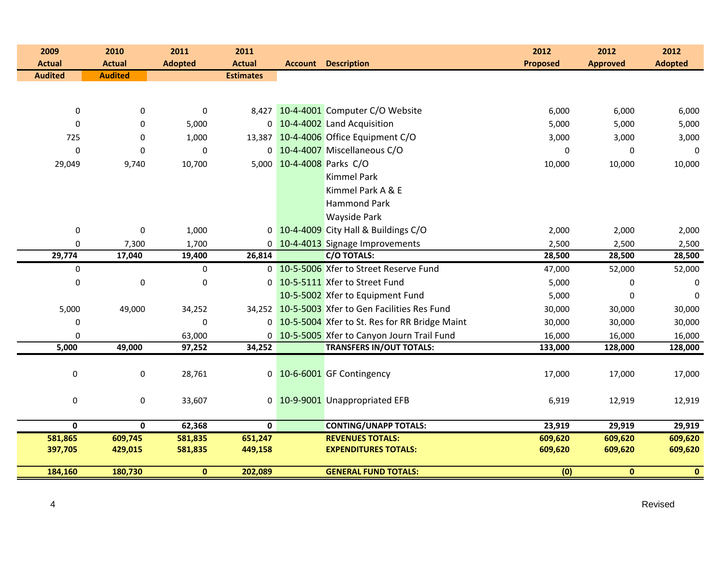| 2009             | 2010           | 2011           | 2011             |                           |                                                  | 2012            | 2012            | 2012           |
|------------------|----------------|----------------|------------------|---------------------------|--------------------------------------------------|-----------------|-----------------|----------------|
| <b>Actual</b>    | <b>Actual</b>  | <b>Adopted</b> | <b>Actual</b>    |                           | <b>Account Description</b>                       | <b>Proposed</b> | <b>Approved</b> | <b>Adopted</b> |
| <b>Audited</b>   | <b>Audited</b> |                | <b>Estimates</b> |                           |                                                  |                 |                 |                |
|                  |                |                |                  |                           |                                                  |                 |                 |                |
|                  |                |                |                  |                           |                                                  |                 |                 |                |
| 0                | 0              | 0              |                  |                           | 8,427 10-4-4001 Computer C/O Website             | 6,000           | 6,000           | 6,000          |
| $\boldsymbol{0}$ | 0              | 5,000          |                  |                           | 0 10-4-4002 Land Acquisition                     | 5,000           | 5,000           | 5,000          |
| 725              | $\mathbf 0$    | 1,000          | 13,387           |                           | 10-4-4006 Office Equipment C/O                   | 3,000           | 3,000           | 3,000          |
| $\mathbf 0$      | $\mathbf 0$    | $\mathbf 0$    |                  |                           | 0 10-4-4007 Miscellaneous C/O                    | 0               | 0               | $\mathbf 0$    |
| 29,049           | 9,740          | 10,700         |                  | 5,000 10-4-4008 Parks C/O |                                                  | 10,000          | 10,000          | 10,000         |
|                  |                |                |                  |                           | <b>Kimmel Park</b>                               |                 |                 |                |
|                  |                |                |                  |                           | Kimmel Park A & E                                |                 |                 |                |
|                  |                |                |                  |                           | <b>Hammond Park</b>                              |                 |                 |                |
|                  |                |                |                  |                           | Wayside Park                                     |                 |                 |                |
| $\pmb{0}$        | $\pmb{0}$      | 1,000          |                  |                           | 0 10-4-4009 City Hall & Buildings C/O            | 2,000           | 2,000           | 2,000          |
| $\mathbf 0$      | 7,300          | 1,700          |                  |                           | 0 10-4-4013 Signage Improvements                 | 2,500           | 2,500           | 2,500          |
| 29,774           | 17,040         | 19,400         | 26,814           |                           | <b>C/O TOTALS:</b>                               | 28,500          | 28,500          | 28,500         |
| 0                |                | 0              |                  |                           | 0 10-5-5006 Xfer to Street Reserve Fund          | 47,000          | 52,000          | 52,000         |
| $\pmb{0}$        | $\pmb{0}$      | $\pmb{0}$      |                  |                           | 0 10-5-5111 Xfer to Street Fund                  | 5,000           | 0               | 0              |
|                  |                |                |                  |                           | 10-5-5002 Xfer to Equipment Fund                 | 5,000           | $\Omega$        | $\Omega$       |
| 5,000            | 49,000         | 34,252         |                  |                           | 34,252 10-5-5003 Xfer to Gen Facilities Res Fund | 30,000          | 30,000          | 30,000         |
| 0                |                | $\pmb{0}$      |                  |                           | 0 10-5-5004 Xfer to St. Res for RR Bridge Maint  | 30,000          | 30,000          | 30,000         |
| 0                |                | 63,000         |                  |                           | 0 10-5-5005 Xfer to Canyon Journ Trail Fund      | 16,000          | 16,000          | 16,000         |
| 5,000            | 49,000         | 97,252         | 34,252           |                           | <b>TRANSFERS IN/OUT TOTALS:</b>                  | 133,000         | 128,000         | 128,000        |
|                  |                |                |                  |                           |                                                  |                 |                 |                |
| $\pmb{0}$        | $\pmb{0}$      | 28,761         |                  |                           | 0 10-6-6001 GF Contingency                       | 17,000          | 17,000          | 17,000         |
|                  |                |                |                  |                           |                                                  |                 |                 |                |
| 0                | $\pmb{0}$      | 33,607         |                  |                           | 0 10-9-9001 Unappropriated EFB                   | 6,919           | 12,919          | 12,919         |
|                  |                |                |                  |                           |                                                  |                 |                 |                |
| $\mathbf 0$      | $\mathbf 0$    | 62,368         | $\mathbf{0}$     |                           | <b>CONTING/UNAPP TOTALS:</b>                     | 23,919          | 29,919          | 29,919         |
| 581,865          | 609,745        | 581,835        | 651,247          |                           | <b>REVENUES TOTALS:</b>                          | 609,620         | 609,620         | 609,620        |
| 397,705          | 429,015        | 581,835        | 449,158          |                           | <b>EXPENDITURES TOTALS:</b>                      | 609,620         | 609,620         | 609,620        |
|                  |                |                |                  |                           | <b>GENERAL FUND TOTALS:</b>                      |                 |                 |                |
| 184,160          | 180,730        | $\mathbf{0}$   | 202,089          |                           |                                                  | (0)             | $\mathbf{0}$    | $\mathbf{0}$   |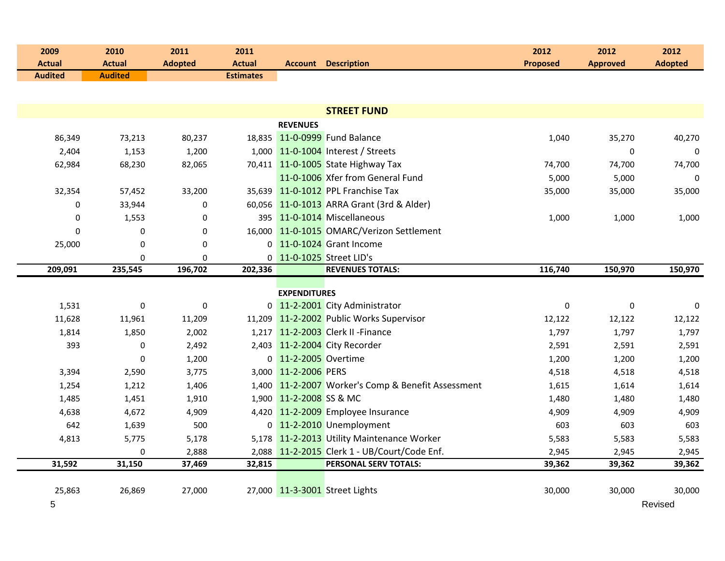| 2009<br><b>Actual</b> | 2010<br><b>Actual</b> | 2011<br><b>Adopted</b> | 2011<br><b>Actual</b> |                         | <b>Account Description</b>                         | 2012<br><b>Proposed</b> | 2012<br><b>Approved</b> | 2012<br><b>Adopted</b> |
|-----------------------|-----------------------|------------------------|-----------------------|-------------------------|----------------------------------------------------|-------------------------|-------------------------|------------------------|
| <b>Audited</b>        | <b>Audited</b>        |                        | <b>Estimates</b>      |                         |                                                    |                         |                         |                        |
|                       |                       |                        |                       |                         |                                                    |                         |                         |                        |
|                       |                       |                        |                       |                         |                                                    |                         |                         |                        |
|                       |                       |                        |                       | <b>REVENUES</b>         | <b>STREET FUND</b>                                 |                         |                         |                        |
|                       |                       | 80,237                 |                       |                         | 18,835 11-0-0999 Fund Balance                      | 1,040                   | 35,270                  |                        |
| 86,349<br>2,404       | 73,213<br>1,153       | 1,200                  |                       |                         | 1,000 11-0-1004 Interest / Streets                 |                         | 0                       | 40,270<br>$\mathbf 0$  |
|                       | 68,230                | 82,065                 |                       |                         | 70,411 11-0-1005 State Highway Tax                 |                         | 74,700                  |                        |
| 62,984                |                       |                        |                       |                         | 11-0-1006 Xfer from General Fund                   | 74,700<br>5,000         | 5,000                   | 74,700<br>$\Omega$     |
|                       | 57,452                |                        |                       |                         | 35,639 11-0-1012 PPL Franchise Tax                 | 35,000                  | 35,000                  | 35,000                 |
| 32,354<br>0           | 33,944                | 33,200<br>0            |                       |                         | 60,056 11-0-1013 ARRA Grant (3rd & Alder)          |                         |                         |                        |
| $\boldsymbol{0}$      | 1,553                 | $\pmb{0}$              |                       |                         | 395 11-0-1014 Miscellaneous                        | 1,000                   | 1,000                   | 1,000                  |
| 0                     | 0                     | 0                      |                       |                         | 16,000 11-0-1015 OMARC/Verizon Settlement          |                         |                         |                        |
|                       | $\mathbf 0$           | 0                      |                       |                         | 0 11-0-1024 Grant Income                           |                         |                         |                        |
| 25,000                | $\mathbf 0$           | $\mathbf 0$            |                       |                         | 0 11-0-1025 Street LID's                           |                         |                         |                        |
| 209,091               | 235,545               | 196,702                | 202,336               |                         | <b>REVENUES TOTALS:</b>                            | 116,740                 | 150,970                 | 150,970                |
|                       |                       |                        |                       |                         |                                                    |                         |                         |                        |
|                       |                       |                        |                       | <b>EXPENDITURES</b>     |                                                    |                         |                         |                        |
| 1,531                 | $\pmb{0}$             | $\pmb{0}$              |                       |                         | 0 11-2-2001 City Administrator                     | $\pmb{0}$               | $\mathbf 0$             | $\mathbf 0$            |
| 11,628                | 11,961                | 11,209                 |                       |                         | 11,209 11-2-2002 Public Works Supervisor           | 12,122                  | 12,122                  | 12,122                 |
| 1,814                 | 1,850                 | 2,002                  |                       |                         | 1,217 11-2-2003 Clerk II - Finance                 | 1,797                   | 1,797                   | 1,797                  |
| 393                   | $\mathbf 0$           | 2,492                  |                       |                         | 2,403 11-2-2004 City Recorder                      | 2,591                   | 2,591                   | 2,591                  |
|                       | $\mathbf 0$           | 1,200                  |                       | 0 11-2-2005 Overtime    |                                                    | 1,200                   | 1,200                   | 1,200                  |
| 3,394                 | 2,590                 | 3,775                  |                       | 3,000 11-2-2006 PERS    |                                                    | 4,518                   | 4,518                   | 4,518                  |
| 1,254                 | 1,212                 | 1,406                  |                       |                         | 1,400 11-2-2007 Worker's Comp & Benefit Assessment | 1,615                   | 1,614                   | 1,614                  |
| 1,485                 | 1,451                 | 1,910                  |                       | 1,900 11-2-2008 SS & MC |                                                    | 1,480                   | 1,480                   | 1,480                  |
| 4,638                 | 4,672                 | 4,909                  |                       |                         | 4,420 11-2-2009 Employee Insurance                 | 4,909                   | 4,909                   | 4,909                  |
| 642                   | 1,639                 | 500                    |                       |                         | 0 11-2-2010 Unemployment                           | 603                     | 603                     | 603                    |
| 4,813                 | 5,775                 | 5,178                  |                       |                         | 5,178 11-2-2013 Utility Maintenance Worker         | 5,583                   | 5,583                   | 5,583                  |
|                       | 0                     | 2,888                  |                       |                         | 2,088 11-2-2015 Clerk 1 - UB/Court/Code Enf.       | 2,945                   | 2,945                   | 2,945                  |
| 31,592                | 31,150                | 37,469                 | 32,815                |                         | PERSONAL SERV TOTALS:                              | 39,362                  | 39,362                  | 39,362                 |
|                       |                       |                        |                       |                         |                                                    |                         |                         |                        |
| 25,863                | 26,869                | 27,000                 |                       |                         | 27,000 11-3-3001 Street Lights                     | 30,000                  | 30,000                  | 30,000                 |
| 5                     |                       |                        |                       |                         |                                                    |                         |                         | Revised                |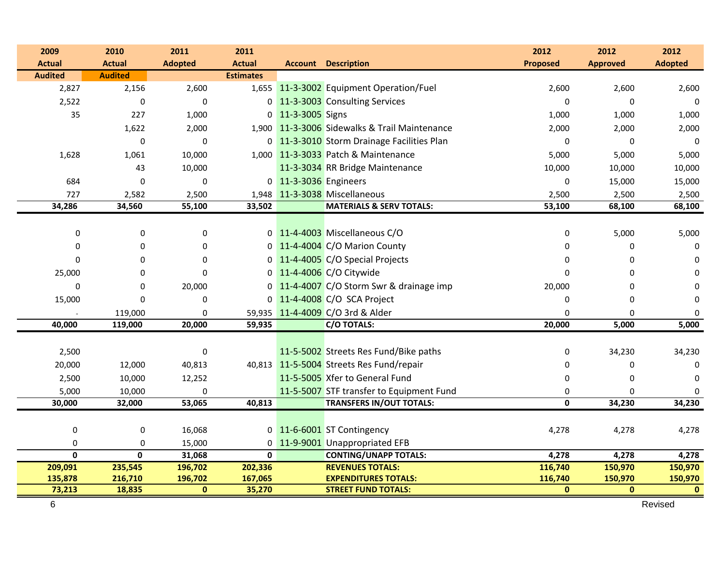| 2009                    | 2010                    | 2011           | 2011                    |                       |                                               | 2012            | 2012            | 2012           |
|-------------------------|-------------------------|----------------|-------------------------|-----------------------|-----------------------------------------------|-----------------|-----------------|----------------|
| <b>Actual</b>           | <b>Actual</b>           | <b>Adopted</b> | <b>Actual</b>           |                       | <b>Account Description</b>                    | <b>Proposed</b> | <b>Approved</b> | <b>Adopted</b> |
| <b>Audited</b>          | <b>Audited</b>          |                | <b>Estimates</b>        |                       |                                               |                 |                 |                |
| 2,827                   | 2,156                   | 2,600          |                         |                       | 1,655 11-3-3002 Equipment Operation/Fuel      | 2,600           | 2,600           | 2,600          |
| 2,522                   | $\Omega$                | $\mathbf 0$    |                         |                       | 0 11-3-3003 Consulting Services               |                 | $\Omega$        | $\Omega$       |
| 35                      | 227                     | 1,000          |                         | 0 11-3-3005 Signs     |                                               | 1,000           | 1,000           | 1,000          |
|                         | 1,622                   | 2,000          |                         |                       | 1,900 11-3-3006 Sidewalks & Trail Maintenance | 2,000           | 2,000           | 2,000          |
|                         | 0                       | 0              |                         |                       | 0 11-3-3010 Storm Drainage Facilities Plan    | 0               | $\mathbf 0$     | $\overline{0}$ |
| 1,628                   | 1,061                   | 10,000         |                         |                       | 1,000 11-3-3033 Patch & Maintenance           | 5,000           | 5,000           | 5,000          |
|                         | 43                      | 10,000         |                         |                       | 11-3-3034 RR Bridge Maintenance               | 10,000          | 10,000          | 10,000         |
| 684                     | $\mathbf 0$             | $\mathbf 0$    |                         | 0 11-3-3036 Engineers |                                               | 0               | 15,000          | 15,000         |
| 727                     | 2,582                   | 2,500          |                         |                       | 1,948 11-3-3038 Miscellaneous                 | 2,500           | 2,500           | 2,500          |
| 34,286                  | 34,560                  | 55,100         | 33,502                  |                       | <b>MATERIALS &amp; SERV TOTALS:</b>           | 53,100          | 68,100          | 68,100         |
|                         |                         |                |                         |                       |                                               |                 |                 |                |
| $\boldsymbol{0}$        | 0                       | $\pmb{0}$      |                         |                       | 0 11-4-4003 Miscellaneous C/O                 | 0               | 5,000           | 5,000          |
| 0                       | 0                       | 0              |                         |                       | 0 11-4-4004 C/O Marion County                 | 0               | 0               | $\mathbf 0$    |
| $\Omega$                | $\Omega$                | 0              |                         |                       | 0 11-4-4005 C/O Special Projects              | 0               | 0               | $\Omega$       |
| 25,000                  | $\Omega$                | $\Omega$       |                         |                       | 0 11-4-4006 C/O Citywide                      | <sup>0</sup>    | $\Omega$        | $\Omega$       |
| $\Omega$                | 0                       | 20,000         |                         |                       | 0 11-4-4007 C/O Storm Swr & drainage imp      | 20,000          | $\Omega$        | $\Omega$       |
| 15,000                  | $\Omega$                | 0              |                         |                       | 0 11-4-4008 C/O SCA Project                   | 0               | 0               | $\mathbf{0}$   |
|                         | 119,000                 | 0              |                         |                       | 59,935 11-4-4009 C/O 3rd & Alder              | $\Omega$        | 0               | $\mathbf 0$    |
| 40,000                  | 119,000                 | 20,000         | 59,935                  |                       | <b>C/O TOTALS:</b>                            | 20,000          | 5,000           | 5,000          |
|                         |                         |                |                         |                       |                                               |                 |                 |                |
| 2,500                   |                         | $\pmb{0}$      |                         |                       | 11-5-5002 Streets Res Fund/Bike paths         | 0               | 34,230          | 34,230         |
| 20,000                  | 12,000                  | 40,813         |                         |                       | 40,813 11-5-5004 Streets Res Fund/repair      | 0               | 0               | $\mathbf 0$    |
| 2,500                   | 10,000                  | 12,252         |                         |                       | 11-5-5005 Xfer to General Fund                | 0               | $\mathbf 0$     | $\mathbf 0$    |
| 5,000                   | 10,000                  | 0              |                         |                       | 11-5-5007 STF transfer to Equipment Fund      | 0               | $\mathbf 0$     | $\mathbf 0$    |
| 30,000                  | 32,000                  | 53,065         | 40,813                  |                       | <b>TRANSFERS IN/OUT TOTALS:</b>               | 0               | 34,230          | 34,230         |
|                         |                         |                |                         |                       |                                               |                 |                 |                |
| 0                       | 0                       | 16,068         |                         |                       | 0 11-6-6001 ST Contingency                    | 4,278           | 4,278           | 4,278          |
| 0                       | $\mathbf 0$             | 15,000         |                         |                       | 0 11-9-9001 Unappropriated EFB                |                 |                 |                |
| $\overline{\mathbf{0}}$ | $\overline{\mathbf{0}}$ | 31,068         | $\overline{\mathbf{0}}$ |                       | <b>CONTING/UNAPP TOTALS:</b>                  | 4,278           | 4,278           | 4,278          |
| 209,091                 | 235,545                 | 196,702        | 202,336                 |                       | <b>REVENUES TOTALS:</b>                       | 116,740         | 150,970         | 150,970        |
| 135,878                 | 216,710                 | 196,702        | 167,065                 |                       | <b>EXPENDITURES TOTALS:</b>                   | 116,740         | 150,970         | 150,970        |
| 73,213                  | 18,835                  | $\bf{0}$       | 35,270                  |                       | <b>STREET FUND TOTALS:</b>                    | $\mathbf{0}$    | $\mathbf{0}$    | $\bf{0}$       |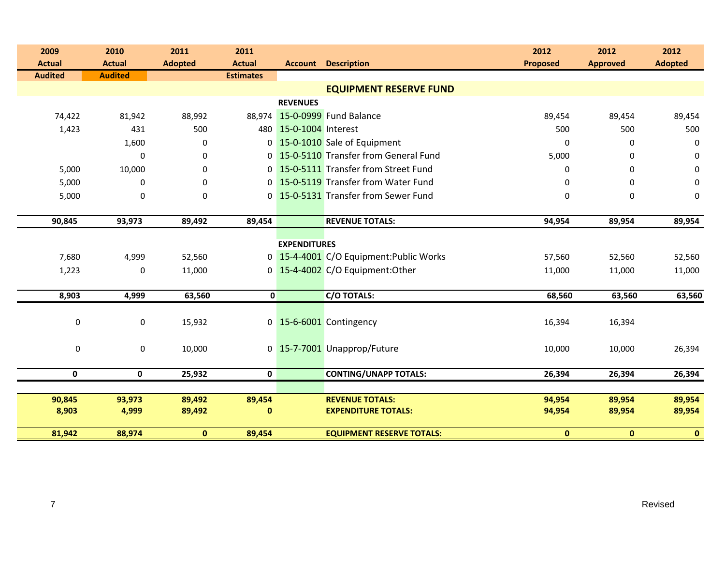| 2009           | 2010           | 2011           | 2011             |                        |                                         | 2012            | 2012            | 2012             |
|----------------|----------------|----------------|------------------|------------------------|-----------------------------------------|-----------------|-----------------|------------------|
| <b>Actual</b>  | <b>Actual</b>  | <b>Adopted</b> | <b>Actual</b>    |                        | <b>Account Description</b>              | <b>Proposed</b> | <b>Approved</b> | <b>Adopted</b>   |
| <b>Audited</b> | <b>Audited</b> |                | <b>Estimates</b> |                        |                                         |                 |                 |                  |
|                |                |                |                  |                        | <b>EQUIPMENT RESERVE FUND</b>           |                 |                 |                  |
|                |                |                |                  | <b>REVENUES</b>        |                                         |                 |                 |                  |
| 74,422         | 81,942         | 88,992         |                  |                        | 88,974 15-0-0999 Fund Balance           | 89,454          | 89,454          | 89,454           |
| 1,423          | 431            | 500            |                  | 480 15-0-1004 Interest |                                         | 500             | 500             | 500              |
|                | 1,600          | 0              |                  |                        | 0 15-0-1010 Sale of Equipment           | 0               | 0               | $\boldsymbol{0}$ |
|                | $\mathbf{0}$   | 0              |                  |                        | 0 15-0-5110 Transfer from General Fund  | 5,000           | 0               | 0                |
| 5,000          | 10,000         | 0              |                  |                        | 0 15-0-5111 Transfer from Street Fund   | 0               | 0               | 0                |
| 5,000          | 0              | 0              |                  |                        | 0 15-0-5119 Transfer from Water Fund    | 0               | $\Omega$        | $\mathbf 0$      |
| 5,000          | $\mathbf 0$    | 0              |                  |                        | 0 15-0-5131 Transfer from Sewer Fund    | 0               | 0               | $\pmb{0}$        |
|                |                |                |                  |                        |                                         |                 |                 |                  |
| 90,845         | 93,973         | 89,492         | 89,454           |                        | <b>REVENUE TOTALS:</b>                  | 94,954          | 89,954          | 89,954           |
|                |                |                |                  | <b>EXPENDITURES</b>    |                                         |                 |                 |                  |
| 7,680          | 4,999          | 52,560         |                  |                        | 0 15-4-4001 C/O Equipment: Public Works | 57,560          | 52,560          | 52,560           |
| 1,223          | 0              | 11,000         |                  |                        | 0 15-4-4002 C/O Equipment:Other         | 11,000          | 11,000          | 11,000           |
|                |                |                |                  |                        |                                         |                 |                 |                  |
| 8,903          | 4,999          | 63,560         | $\mathbf{0}$     |                        | <b>C/O TOTALS:</b>                      | 68,560          | 63,560          | 63,560           |
|                |                |                |                  |                        |                                         |                 |                 |                  |
| $\pmb{0}$      | 0              | 15,932         |                  |                        | 0 15-6-6001 Contingency                 | 16,394          | 16,394          |                  |
|                |                |                |                  |                        |                                         |                 |                 |                  |
| 0              | 0              | 10,000         |                  |                        | 0 15-7-7001 Unapprop/Future             | 10,000          | 10,000          | 26,394           |
|                |                |                |                  |                        |                                         |                 |                 |                  |
| $\mathbf 0$    | $\mathbf 0$    | 25,932         | $\mathbf 0$      |                        | <b>CONTING/UNAPP TOTALS:</b>            | 26,394          | 26,394          | 26,394           |
|                |                |                |                  |                        |                                         |                 |                 |                  |
| 90,845         | 93,973         | 89,492         | 89,454           |                        | <b>REVENUE TOTALS:</b>                  | 94,954          | 89,954          | 89,954           |
| 8,903          | 4,999          | 89,492         | $\mathbf{0}$     |                        | <b>EXPENDITURE TOTALS:</b>              | 94,954          | 89,954          | 89,954           |
| 81,942         | 88,974         | $\mathbf{0}$   | 89,454           |                        | <b>EQUIPMENT RESERVE TOTALS:</b>        | $\mathbf{0}$    | $\mathbf{0}$    | $\mathbf{0}$     |
|                |                |                |                  |                        |                                         |                 |                 |                  |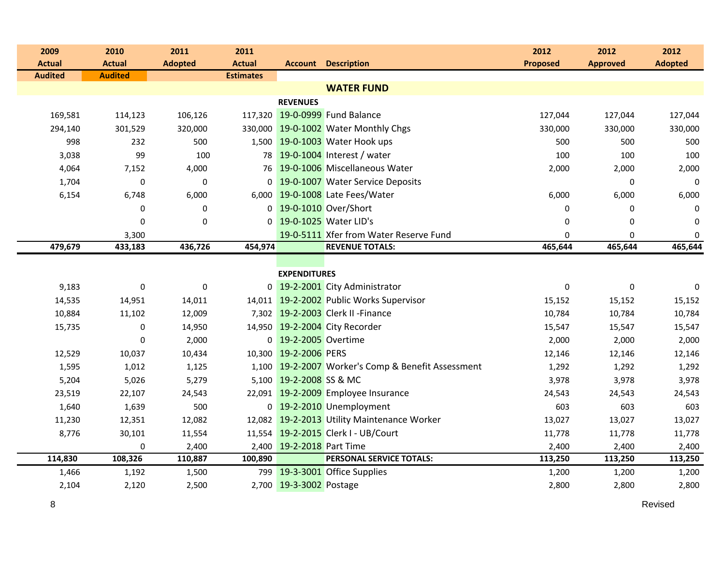| 2009           | 2010           | 2011           | 2011             |                           |                                                    | 2012            | 2012            | 2012           |  |
|----------------|----------------|----------------|------------------|---------------------------|----------------------------------------------------|-----------------|-----------------|----------------|--|
| <b>Actual</b>  | <b>Actual</b>  | <b>Adopted</b> | <b>Actual</b>    |                           | <b>Account Description</b>                         | <b>Proposed</b> | <b>Approved</b> | <b>Adopted</b> |  |
| <b>Audited</b> | <b>Audited</b> |                | <b>Estimates</b> |                           |                                                    |                 |                 |                |  |
|                |                |                |                  |                           | <b>WATER FUND</b>                                  |                 |                 |                |  |
|                |                |                |                  | <b>REVENUES</b>           |                                                    |                 |                 |                |  |
| 169,581        | 114,123        | 106,126        |                  |                           | 117,320 19-0-0999 Fund Balance                     | 127,044         | 127,044         | 127,044        |  |
| 294,140        | 301,529        | 320,000        |                  |                           | 330,000 19-0-1002 Water Monthly Chgs               | 330,000         | 330,000         | 330,000        |  |
| 998            | 232            | 500            |                  |                           | 1,500 19-0-1003 Water Hook ups                     | 500             | 500             | 500            |  |
| 3,038          | 99             | 100            |                  |                           | 78 19-0-1004 Interest / water                      | 100             | 100             | 100            |  |
| 4,064          | 7,152          | 4,000          |                  |                           | 76 19-0-1006 Miscellaneous Water                   | 2,000           | 2,000           | 2,000          |  |
| 1,704          | $\mathbf 0$    | $\bf{0}$       |                  |                           | 0 19-0-1007 Water Service Deposits                 |                 | $\mathbf 0$     | $\mathbf 0$    |  |
| 6,154          | 6,748          | 6,000          |                  |                           | 6,000 19-0-1008 Late Fees/Water                    | 6,000           | 6,000           | 6,000          |  |
|                | $\mathbf{0}$   | $\mathbf 0$    |                  |                           | 0 19-0-1010 Over/Short                             | 0               | $\mathbf 0$     | 0              |  |
|                | $\mathbf{0}$   | $\mathbf 0$    |                  |                           | 0 19-0-1025 Water LID's                            | $\Omega$        | $\Omega$        | 0              |  |
|                | 3,300          |                |                  |                           | 19-0-5111 Xfer from Water Reserve Fund             | 0               | 0               | 0              |  |
| 479,679        | 433,183        | 436,726        | 454,974          |                           | <b>REVENUE TOTALS:</b>                             | 465,644         | 465,644         | 465,644        |  |
|                |                |                |                  |                           |                                                    |                 |                 |                |  |
|                |                |                |                  | <b>EXPENDITURES</b>       |                                                    |                 |                 |                |  |
| 9,183          | 0              | $\bf{0}$       |                  |                           | 0 19-2-2001 City Administrator                     | $\mathbf 0$     | 0               | 0              |  |
| 14,535         | 14,951         | 14,011         |                  |                           | 14,011 19-2-2002 Public Works Supervisor           | 15,152          | 15,152          | 15,152         |  |
| 10,884         | 11,102         | 12,009         |                  |                           | 7,302 19-2-2003 Clerk II - Finance                 | 10,784          | 10,784          | 10,784         |  |
| 15,735         | 0              | 14,950         |                  |                           | 14,950 19-2-2004 City Recorder                     | 15,547          | 15,547          | 15,547         |  |
|                | 0              | 2,000          |                  | 0 19-2-2005 Overtime      |                                                    | 2,000           | 2,000           | 2,000          |  |
| 12,529         | 10,037         | 10,434         |                  | 10,300 19-2-2006 PERS     |                                                    | 12,146          | 12,146          | 12,146         |  |
| 1,595          | 1,012          | 1,125          |                  |                           | 1,100 19-2-2007 Worker's Comp & Benefit Assessment | 1,292           | 1,292           | 1,292          |  |
| 5,204          | 5,026          | 5,279          |                  | 5,100 19-2-2008 SS & MC   |                                                    | 3,978           | 3,978           | 3,978          |  |
| 23,519         | 22,107         | 24,543         |                  |                           | 22,091 19-2-2009 Employee Insurance                | 24,543          | 24,543          | 24,543         |  |
| 1,640          | 1,639          | 500            |                  |                           | 0 19-2-2010 Unemployment                           | 603             | 603             | 603            |  |
| 11,230         | 12,351         | 12,082         |                  |                           | 12,082 19-2-2013 Utility Maintenance Worker        | 13,027          | 13,027          | 13,027         |  |
| 8,776          | 30,101         | 11,554         |                  |                           | 11,554 19-2-2015 Clerk I - UB/Court                | 11,778          | 11,778          | 11,778         |  |
|                | 0              | 2,400          |                  | 2,400 19-2-2018 Part Time |                                                    | 2,400           | 2,400           | 2,400          |  |
| 114,830        | 108,326        | 110,887        | 100,890          |                           | PERSONAL SERVICE TOTALS:                           | 113,250         | 113,250         | 113,250        |  |
| 1,466          | 1,192          | 1,500          |                  |                           | 799 19-3-3001 Office Supplies                      | 1,200           | 1,200           | 1,200          |  |
| 2,104          | 2,120          | 2,500          |                  | 2,700 19-3-3002 Postage   |                                                    | 2,800           | 2,800           | 2,800          |  |

en die staatsland van die koningste verwys van die stadium van die stadium van die koningste verwys van die st<br>Die stadium van die stadium van die stadium van die stadium van die stadium van die stadium van die stadium va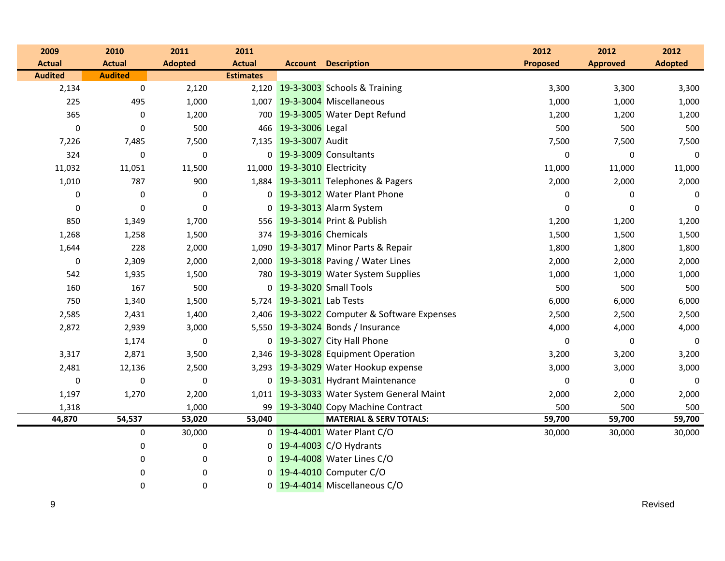| 2009           | 2010             | 2011             | 2011             |                              |                                              | 2012            | 2012            | 2012           |
|----------------|------------------|------------------|------------------|------------------------------|----------------------------------------------|-----------------|-----------------|----------------|
| <b>Actual</b>  | <b>Actual</b>    | <b>Adopted</b>   | <b>Actual</b>    |                              | <b>Account Description</b>                   | <b>Proposed</b> | <b>Approved</b> | <b>Adopted</b> |
| <b>Audited</b> | <b>Audited</b>   |                  | <b>Estimates</b> |                              |                                              |                 |                 |                |
| 2,134          | $\boldsymbol{0}$ | 2,120            |                  |                              | 2,120 19-3-3003 Schools & Training           | 3,300           | 3,300           | 3,300          |
| 225            | 495              | 1,000            |                  |                              | 1,007 19-3-3004 Miscellaneous                | 1,000           | 1,000           | 1,000          |
| 365            | $\boldsymbol{0}$ | 1,200            |                  |                              | 700 19-3-3005 Water Dept Refund              | 1,200           | 1,200           | 1,200          |
| $\mathbf 0$    | $\mathbf 0$      | 500              |                  | 466 19-3-3006 Legal          |                                              | 500             | 500             | 500            |
| 7,226          | 7,485            | 7,500            |                  | 7,135 19-3-3007 Audit        |                                              | 7,500           | 7,500           | 7,500          |
| 324            | $\pmb{0}$        | $\boldsymbol{0}$ |                  |                              | 0 19-3-3009 Consultants                      | $\pmb{0}$       | $\pmb{0}$       | $\mathbf 0$    |
| 11,032         | 11,051           | 11,500           |                  | 11,000 19-3-3010 Electricity |                                              | 11,000          | 11,000          | 11,000         |
| 1,010          | 787              | 900              |                  |                              | 1,884 19-3-3011 Telephones & Pagers          | 2,000           | 2,000           | 2,000          |
| 0              | $\boldsymbol{0}$ | 0                |                  |                              | 0 19-3-3012 Water Plant Phone                | 0               | $\pmb{0}$       | 0              |
| 0              | $\mathbf 0$      | $\boldsymbol{0}$ |                  |                              | 0 19-3-3013 Alarm System                     | 0               | 0               | $\Omega$       |
| 850            | 1,349            | 1,700            |                  |                              | 556 19-3-3014 Print & Publish                | 1,200           | 1,200           | 1,200          |
| 1,268          | 1,258            | 1,500            |                  | 374 19-3-3016 Chemicals      |                                              | 1,500           | 1,500           | 1,500          |
| 1,644          | 228              | 2,000            |                  |                              | 1,090 19-3-3017 Minor Parts & Repair         | 1,800           | 1,800           | 1,800          |
| 0              | 2,309            | 2,000            |                  |                              | 2,000 19-3-3018 Paving / Water Lines         | 2,000           | 2,000           | 2,000          |
| 542            | 1,935            | 1,500            |                  |                              | 780 19-3-3019 Water System Supplies          | 1,000           | 1,000           | 1,000          |
| 160            | 167              | 500              |                  |                              | 0 19-3-3020 Small Tools                      | 500             | 500             | 500            |
| 750            | 1,340            | 1,500            |                  | 5,724 19-3-3021 Lab Tests    |                                              | 6,000           | 6,000           | 6,000          |
| 2,585          | 2,431            | 1,400            |                  |                              | 2,406 19-3-3022 Computer & Software Expenses | 2,500           | 2,500           | 2,500          |
| 2,872          | 2,939            | 3,000            |                  |                              | 5,550 19-3-3024 Bonds / Insurance            | 4,000           | 4,000           | 4,000          |
|                | 1,174            | $\boldsymbol{0}$ |                  |                              | 0 19-3-3027 City Hall Phone                  | 0               | 0               | 0              |
| 3,317          | 2,871            | 3,500            |                  |                              | 2,346 19-3-3028 Equipment Operation          | 3,200           | 3,200           | 3,200          |
| 2,481          | 12,136           | 2,500            |                  |                              | 3,293 19-3-3029 Water Hookup expense         | 3,000           | 3,000           | 3,000          |
| $\pmb{0}$      | $\boldsymbol{0}$ | $\boldsymbol{0}$ |                  |                              | 0 19-3-3031 Hydrant Maintenance              | $\pmb{0}$       | $\pmb{0}$       | 0              |
| 1,197          | 1,270            | 2,200            |                  |                              | 1,011 19-3-3033 Water System General Maint   | 2,000           | 2,000           | 2,000          |
| 1,318          |                  | 1,000            |                  |                              | 99 19-3-3040 Copy Machine Contract           | 500             | 500             | 500            |
| 44,870         | 54,537           | 53,020           | 53,040           |                              | <b>MATERIAL &amp; SERV TOTALS:</b>           | 59,700          | 59,700          | 59,700         |
|                | $\pmb{0}$        | 30,000           |                  |                              | 0 19-4-4001 Water Plant C/O                  | 30,000          | 30,000          | 30,000         |
|                | 0                | 0                |                  |                              | 0 19-4-4003 C/O Hydrants                     |                 |                 |                |
|                | 0                | 0                |                  |                              | 0 19-4-4008 Water Lines C/O                  |                 |                 |                |
|                | $\mathbf 0$      | 0                | $\overline{0}$   |                              | 19-4-4010 Computer C/O                       |                 |                 |                |
|                | 0                | 0                |                  |                              | 0 19-4-4014 Miscellaneous C/O                |                 |                 |                |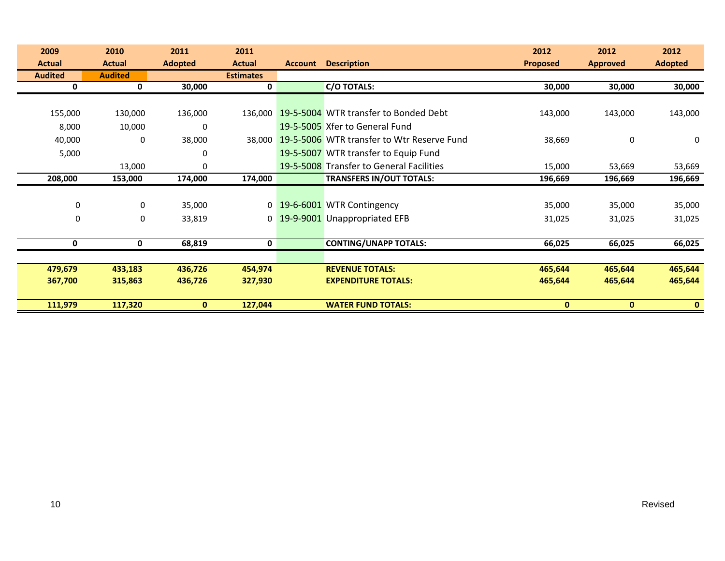| 2009           | 2010           | 2011           | 2011             |                |                                            | 2012            | 2012            | 2012           |
|----------------|----------------|----------------|------------------|----------------|--------------------------------------------|-----------------|-----------------|----------------|
| <b>Actual</b>  | <b>Actual</b>  | <b>Adopted</b> | <b>Actual</b>    | <b>Account</b> | <b>Description</b>                         | <b>Proposed</b> | <b>Approved</b> | <b>Adopted</b> |
| <b>Audited</b> | <b>Audited</b> |                | <b>Estimates</b> |                |                                            |                 |                 |                |
| 0              | 0              | 30,000         | 0                |                | <b>C/O TOTALS:</b>                         | 30,000          | 30,000          | 30,000         |
|                |                |                |                  |                |                                            |                 |                 |                |
| 155,000        | 130,000        | 136,000        | 136,000          |                | 19-5-5004 WTR transfer to Bonded Debt      | 143,000         | 143,000         | 143,000        |
| 8,000          | 10,000         | $\mathbf 0$    |                  |                | 19-5-5005 Xfer to General Fund             |                 |                 |                |
| 40,000         | 0              | 38,000         | 38,000           |                | 19-5-5006 WTR transfer to Wtr Reserve Fund | 38,669          | 0               | 0              |
| 5,000          |                | 0              |                  |                | 19-5-5007 WTR transfer to Equip Fund       |                 |                 |                |
|                | 13,000         | 0              |                  |                | 19-5-5008 Transfer to General Facilities   | 15,000          | 53,669          | 53,669         |
| 208,000        | 153,000        | 174,000        | 174,000          |                | <b>TRANSFERS IN/OUT TOTALS:</b>            | 196,669         | 196,669         | 196,669        |
|                |                |                |                  |                |                                            |                 |                 |                |
| $\mathbf 0$    | 0              | 35,000         |                  |                | 0 19-6-6001 WTR Contingency                | 35,000          | 35,000          | 35,000         |
| $\mathbf 0$    | 0              | 33,819         | $\mathbf{0}$     |                | 19-9-9001 Unappropriated EFB               | 31,025          | 31,025          | 31,025         |
|                |                |                |                  |                |                                            |                 |                 |                |
| 0              | 0              | 68,819         | 0                |                | <b>CONTING/UNAPP TOTALS:</b>               | 66,025          | 66,025          | 66,025         |
|                |                |                |                  |                |                                            |                 |                 |                |
| 479,679        | 433,183        | 436,726        | 454,974          |                | <b>REVENUE TOTALS:</b>                     | 465,644         | 465,644         | 465,644        |
| 367,700        | 315,863        | 436,726        | 327,930          |                | <b>EXPENDITURE TOTALS:</b>                 | 465,644         | 465,644         | 465,644        |
|                |                |                |                  |                |                                            |                 |                 |                |
| 111,979        | 117,320        | $\mathbf{0}$   | 127,044          |                | <b>WATER FUND TOTALS:</b>                  | $\mathbf{0}$    | $\mathbf{0}$    | $\mathbf{0}$   |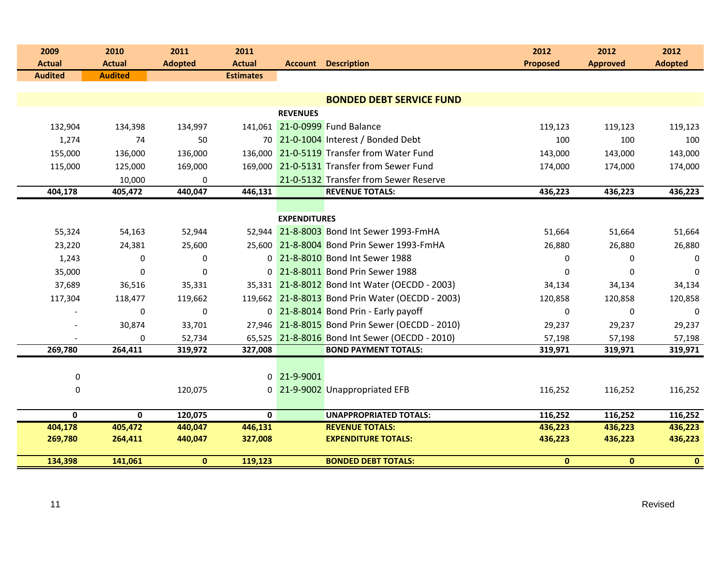| 2009<br><b>Actual</b> | 2010<br><b>Actual</b> | 2011<br><b>Adopted</b> | 2011<br><b>Actual</b> |                     | <b>Account Description</b>                       | 2012<br><b>Proposed</b> | 2012<br><b>Approved</b> | 2012<br><b>Adopted</b> |
|-----------------------|-----------------------|------------------------|-----------------------|---------------------|--------------------------------------------------|-------------------------|-------------------------|------------------------|
| <b>Audited</b>        | <b>Audited</b>        |                        | <b>Estimates</b>      |                     |                                                  |                         |                         |                        |
|                       |                       |                        |                       |                     | <b>BONDED DEBT SERVICE FUND</b>                  |                         |                         |                        |
|                       |                       |                        |                       | <b>REVENUES</b>     |                                                  |                         |                         |                        |
| 132,904               | 134,398               | 134,997                |                       |                     | 141,061 21-0-0999 Fund Balance                   | 119,123                 | 119,123                 | 119,123                |
| 1,274                 | 74                    | 50                     |                       |                     | 70 21-0-1004 Interest / Bonded Debt              | 100                     | 100                     | 100                    |
| 155,000               | 136,000               | 136,000                |                       |                     | 136,000 21-0-5119 Transfer from Water Fund       | 143,000                 | 143,000                 | 143,000                |
| 115,000               | 125,000               | 169,000                |                       |                     | 169,000 21-0-5131 Transfer from Sewer Fund       | 174,000                 | 174,000                 | 174,000                |
|                       | 10,000                | 0                      |                       |                     | 21-0-5132 Transfer from Sewer Reserve            |                         |                         |                        |
| 404,178               | 405,472               | 440,047                | 446,131               |                     | <b>REVENUE TOTALS:</b>                           | 436,223                 | 436,223                 | 436,223                |
|                       |                       |                        |                       |                     |                                                  |                         |                         |                        |
|                       |                       |                        |                       | <b>EXPENDITURES</b> |                                                  |                         |                         |                        |
| 55,324                | 54,163                | 52,944                 |                       |                     | 52,944 21-8-8003 Bond Int Sewer 1993-FmHA        | 51,664                  | 51,664                  | 51,664                 |
| 23,220                | 24,381                | 25,600                 |                       |                     | 25,600 21-8-8004 Bond Prin Sewer 1993-FmHA       | 26,880                  | 26,880                  | 26,880                 |
| 1,243                 | 0                     | $\bf{0}$               |                       |                     | 0 21-8-8010 Bond Int Sewer 1988                  | 0                       | $\mathbf 0$             | 0                      |
| 35,000                | $\mathbf 0$           | $\mathbf 0$            |                       |                     | 0 21-8-8011 Bond Prin Sewer 1988                 | 0                       | 0                       | $\mathbf 0$            |
| 37,689                | 36,516                | 35,331                 |                       |                     | 35,331 21-8-8012 Bond Int Water (OECDD - 2003)   | 34,134                  | 34,134                  | 34,134                 |
| 117,304               | 118,477               | 119,662                |                       |                     | 119,662 21-8-8013 Bond Prin Water (OECDD - 2003) | 120,858                 | 120,858                 | 120,858                |
|                       | $\Omega$              | $\mathbf 0$            |                       |                     | 0 21-8-8014 Bond Prin - Early payoff             | $\Omega$                | $\Omega$                | $\Omega$               |
|                       | 30,874                | 33,701                 |                       |                     | 27,946 21-8-8015 Bond Prin Sewer (OECDD - 2010)  | 29,237                  | 29,237                  | 29,237                 |
|                       | $\Omega$              | 52,734                 |                       |                     | 65,525 21-8-8016 Bond Int Sewer (OECDD - 2010)   | 57,198                  | 57,198                  | 57,198                 |
| 269,780               | 264,411               | 319,972                | 327,008               |                     | <b>BOND PAYMENT TOTALS:</b>                      | 319,971                 | 319,971                 | 319,971                |
|                       |                       |                        |                       |                     |                                                  |                         |                         |                        |
| $\pmb{0}$             |                       |                        |                       | 0 21-9-9001         |                                                  |                         |                         |                        |
| 0                     |                       | 120,075                |                       |                     | 0 21-9-9002 Unappropriated EFB                   | 116,252                 | 116,252                 | 116,252                |
| $\mathbf{0}$          | $\mathbf{0}$          | 120,075                | $\mathbf{0}$          |                     | <b>UNAPPROPRIATED TOTALS:</b>                    | 116,252                 | 116,252                 | 116,252                |
| 404,178               | 405,472               | 440,047                | 446,131               |                     | <b>REVENUE TOTALS:</b>                           | 436,223                 | 436,223                 | 436,223                |
| 269,780               | 264,411               | 440,047                | 327,008               |                     | <b>EXPENDITURE TOTALS:</b>                       | 436,223                 | 436,223                 | 436,223                |
| 134,398               | 141,061               | $\bf{0}$               | 119,123               |                     | <b>BONDED DEBT TOTALS:</b>                       | $\mathbf{0}$            | $\mathbf{0}$            | $\mathbf{0}$           |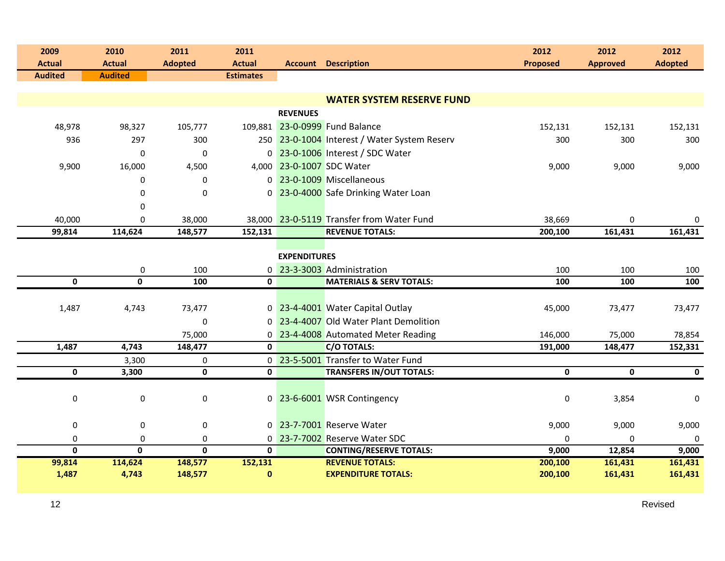| 2009                            | 2010                            | 2011                    | 2011                              |                     |                                                                            | 2012               | 2012              | 2012              |  |  |
|---------------------------------|---------------------------------|-------------------------|-----------------------------------|---------------------|----------------------------------------------------------------------------|--------------------|-------------------|-------------------|--|--|
| <b>Actual</b><br><b>Audited</b> | <b>Actual</b><br><b>Audited</b> | <b>Adopted</b>          | <b>Actual</b><br><b>Estimates</b> |                     | <b>Account Description</b>                                                 | <b>Proposed</b>    | <b>Approved</b>   | <b>Adopted</b>    |  |  |
|                                 |                                 |                         |                                   |                     |                                                                            |                    |                   |                   |  |  |
|                                 |                                 |                         |                                   |                     | <b>WATER SYSTEM RESERVE FUND</b>                                           |                    |                   |                   |  |  |
|                                 |                                 |                         |                                   | <b>REVENUES</b>     |                                                                            |                    |                   |                   |  |  |
| 48,978                          | 98,327                          | 105,777                 |                                   |                     | 109,881 23-0-0999 Fund Balance                                             | 152,131            | 152,131           | 152,131           |  |  |
| 936                             | 297                             | 300                     |                                   |                     | 250 23-0-1004 Interest / Water System Reserv                               | 300                | 300               | 300               |  |  |
|                                 | $\mathbf 0$                     | $\mathbf 0$             |                                   |                     | 0 23-0-1006 Interest / SDC Water                                           |                    |                   |                   |  |  |
| 9,900                           | 16,000                          | 4,500                   |                                   |                     | 4,000 23-0-1007 SDC Water                                                  | 9,000              | 9,000             | 9,000             |  |  |
|                                 | 0                               | 0                       |                                   |                     | 0 23-0-1009 Miscellaneous                                                  |                    |                   |                   |  |  |
|                                 | $\mathbf 0$                     | $\pmb{0}$               |                                   |                     | 0 23-0-4000 Safe Drinking Water Loan                                       |                    |                   |                   |  |  |
|                                 | $\mathbf 0$                     |                         |                                   |                     |                                                                            |                    |                   |                   |  |  |
| 40,000                          | $\mathbf 0$                     | 38,000                  |                                   |                     | 38,000 23-0-5119 Transfer from Water Fund                                  | 38,669             | $\mathbf 0$       | 0                 |  |  |
| 99,814                          | 114,624                         | 148,577                 | 152,131                           |                     | <b>REVENUE TOTALS:</b>                                                     | 200,100            | 161,431           | 161,431           |  |  |
|                                 |                                 |                         |                                   |                     |                                                                            |                    |                   |                   |  |  |
|                                 |                                 |                         |                                   | <b>EXPENDITURES</b> |                                                                            |                    |                   |                   |  |  |
|                                 | 0<br>$\overline{\mathbf{0}}$    | 100                     | 0                                 |                     | 23-3-3003 Administration                                                   | 100                | 100               | 100               |  |  |
| $\mathbf 0$                     |                                 | 100                     | $\mathbf 0$                       |                     | <b>MATERIALS &amp; SERV TOTALS:</b>                                        | 100                | 100               | 100               |  |  |
|                                 |                                 |                         |                                   |                     |                                                                            |                    |                   |                   |  |  |
| 1,487                           | 4,743                           | 73,477<br>$\mathbf 0$   |                                   |                     | 0 23-4-4001 Water Capital Outlay<br>0 23-4-4007 Old Water Plant Demolition | 45,000             | 73,477            | 73,477            |  |  |
|                                 |                                 |                         |                                   |                     |                                                                            |                    |                   |                   |  |  |
| 1,487                           | 4,743                           | 75,000<br>148,477       | 0                                 |                     | 0 23-4-4008 Automated Meter Reading<br><b>C/O TOTALS:</b>                  | 146,000<br>191,000 | 75,000<br>148,477 | 78,854<br>152,331 |  |  |
|                                 | 3,300                           | 0                       |                                   |                     | 0 23-5-5001 Transfer to Water Fund                                         |                    |                   |                   |  |  |
| 0                               | 3,300                           | $\mathbf 0$             | $\mathbf{0}$                      |                     | <b>TRANSFERS IN/OUT TOTALS:</b>                                            | $\mathbf 0$        | $\mathbf 0$       | $\mathbf 0$       |  |  |
|                                 |                                 |                         |                                   |                     |                                                                            |                    |                   |                   |  |  |
| $\pmb{0}$                       | $\pmb{0}$                       | $\pmb{0}$               |                                   |                     | 0 23-6-6001 WSR Contingency                                                | $\boldsymbol{0}$   | 3,854             | 0                 |  |  |
|                                 |                                 |                         |                                   |                     |                                                                            |                    |                   |                   |  |  |
| $\boldsymbol{0}$                | 0                               | $\pmb{0}$               |                                   |                     | 0 23-7-7001 Reserve Water                                                  | 9,000              | 9,000             | 9,000             |  |  |
| $\pmb{0}$                       | $\mathbf 0$                     | $\pmb{0}$               |                                   |                     | 0 23-7-7002 Reserve Water SDC                                              | $\Omega$           | 0                 | $\mathbf 0$       |  |  |
| $\overline{\mathbf{0}}$         | $\overline{\mathbf{0}}$         | $\overline{\mathbf{0}}$ | $\overline{\mathbf{0}}$           |                     | <b>CONTING/RESERVE TOTALS:</b>                                             | 9,000              | 12,854            | 9,000             |  |  |
| 99,814                          | 114,624                         | 148,577                 | 152,131                           |                     | <b>REVENUE TOTALS:</b>                                                     | 200,100            | 161,431           | 161,431           |  |  |
| 1,487                           | 4,743                           | 148,577                 | $\bf{0}$                          |                     | <b>EXPENDITURE TOTALS:</b>                                                 | 200,100            | 161,431           | 161,431           |  |  |
|                                 |                                 |                         |                                   |                     |                                                                            |                    |                   |                   |  |  |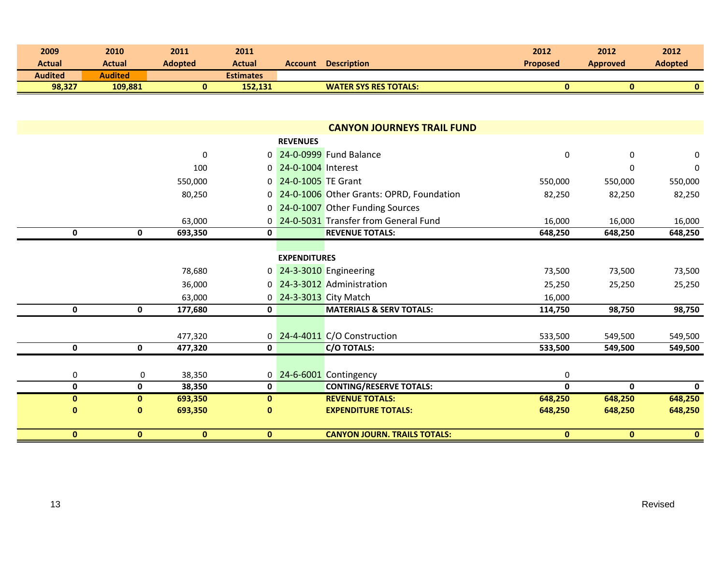| 2009<br><b>Actual</b> | 2010<br><b>Actual</b> | 2011<br><b>Adopted</b> | 2011<br><b>Actual</b> |                      | <b>Account Description</b>                 | 2012<br><b>Proposed</b> | 2012<br><b>Approved</b> | 2012<br><b>Adopted</b> |
|-----------------------|-----------------------|------------------------|-----------------------|----------------------|--------------------------------------------|-------------------------|-------------------------|------------------------|
| <b>Audited</b>        | <b>Audited</b>        |                        | <b>Estimates</b>      |                      |                                            |                         |                         |                        |
| 98,327                | 109,881               | $\mathbf{0}$           | 152,131               |                      | <b>WATER SYS RES TOTALS:</b>               | $\bf{0}$                | $\mathbf{0}$            | $\mathbf{0}$           |
|                       |                       |                        |                       |                      |                                            |                         |                         |                        |
|                       |                       |                        |                       |                      | <b>CANYON JOURNEYS TRAIL FUND</b>          |                         |                         |                        |
|                       |                       |                        |                       | <b>REVENUES</b>      |                                            |                         |                         |                        |
|                       |                       | $\mathbf 0$            |                       |                      | 0 24-0-0999 Fund Balance                   | 0                       | 0                       | 0                      |
|                       |                       | 100                    |                       | 0 24-0-1004 Interest |                                            |                         | 0                       | $\mathbf 0$            |
|                       |                       |                        |                       | 0 24-0-1005 TE Grant |                                            |                         |                         |                        |
|                       |                       | 550,000                |                       |                      |                                            | 550,000                 | 550,000                 | 550,000                |
|                       |                       | 80,250                 |                       |                      | 0 24-0-1006 Other Grants: OPRD, Foundation | 82,250                  | 82,250                  | 82,250                 |
|                       |                       |                        |                       |                      | 0 24-0-1007 Other Funding Sources          |                         |                         |                        |
|                       |                       | 63,000                 |                       |                      | 0 24-0-5031 Transfer from General Fund     | 16,000                  | 16,000                  | 16,000                 |
| $\mathbf 0$           | $\mathbf 0$           | 693,350                | $\mathbf 0$           |                      | <b>REVENUE TOTALS:</b>                     | 648,250                 | 648,250                 | 648,250                |
|                       |                       |                        |                       |                      |                                            |                         |                         |                        |
|                       |                       |                        |                       | <b>EXPENDITURES</b>  |                                            |                         |                         |                        |
|                       |                       | 78,680                 |                       |                      | 0 24-3-3010 Engineering                    | 73,500                  | 73,500                  | 73,500                 |
|                       |                       | 36,000                 |                       |                      | 0 24-3-3012 Administration                 | 25,250                  | 25,250                  | 25,250                 |
|                       |                       | 63,000                 |                       |                      | 0 24-3-3013 City Match                     | 16,000                  |                         |                        |
| $\mathbf 0$           | $\mathbf 0$           | 177,680                | $\mathbf 0$           |                      | <b>MATERIALS &amp; SERV TOTALS:</b>        | 114,750                 | 98,750                  | 98,750                 |
|                       |                       |                        |                       |                      |                                            |                         |                         |                        |
|                       |                       | 477,320                |                       |                      | 0 24-4-4011 C/O Construction               | 533,500                 | 549,500                 | 549,500                |
| $\mathbf 0$           | 0                     | 477,320                | $\mathbf 0$           |                      | <b>C/O TOTALS:</b>                         | 533,500                 | 549,500                 | 549,500                |
|                       |                       |                        |                       |                      |                                            |                         |                         |                        |
| $\pmb{0}$             | 0                     | 38,350                 |                       |                      | 0 24-6-6001 Contingency                    | 0                       |                         |                        |
| $\pmb{0}$             | $\mathbf 0$           | 38,350                 | $\mathbf 0$           |                      | <b>CONTING/RESERVE TOTALS:</b>             | $\mathbf 0$             | $\mathbf 0$             | $\mathbf 0$            |
| $\pmb{0}$             | $\pmb{0}$             | 693,350                | $\pmb{0}$             |                      | <b>REVENUE TOTALS:</b>                     | 648,250                 | 648,250                 | 648,250                |
| $\bf{0}$              | $\mathbf 0$           | 693,350                | $\mathbf{0}$          |                      | <b>EXPENDITURE TOTALS:</b>                 | 648,250                 | 648,250                 | 648,250                |
| $\bf{0}$              | $\bf{0}$              | $\mathbf{0}$           | $\mathbf{0}$          |                      | <b>CANYON JOURN. TRAILS TOTALS:</b>        | $\mathbf{0}$            | $\mathbf{0}$            | $\mathbf{0}$           |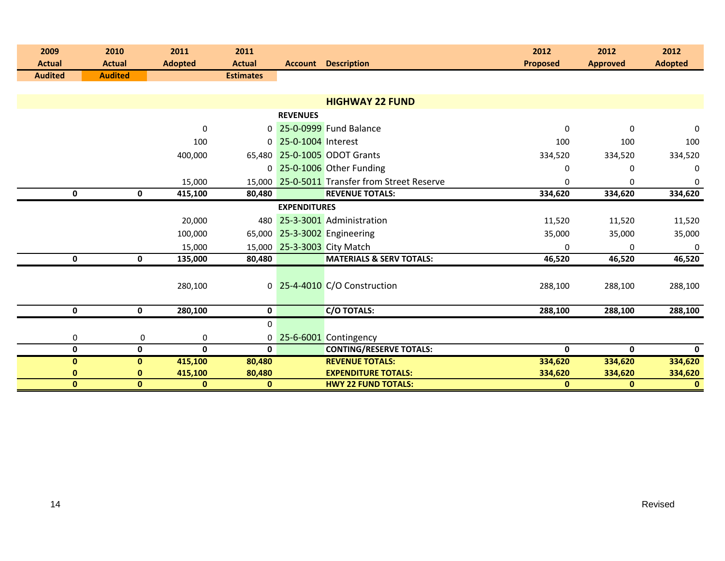| 2009<br><b>Actual</b> | 2010<br><b>Actual</b> | 2011<br><b>Adopted</b> | 2011<br><b>Actual</b> |                      | <b>Account Description</b>                    | 2012<br><b>Proposed</b> | 2012<br><b>Approved</b> | 2012<br><b>Adopted</b> |
|-----------------------|-----------------------|------------------------|-----------------------|----------------------|-----------------------------------------------|-------------------------|-------------------------|------------------------|
| <b>Audited</b>        | <b>Audited</b>        |                        | <b>Estimates</b>      |                      |                                               |                         |                         |                        |
|                       |                       |                        |                       |                      |                                               |                         |                         |                        |
|                       |                       |                        |                       |                      | <b>HIGHWAY 22 FUND</b>                        |                         |                         |                        |
|                       |                       |                        |                       | <b>REVENUES</b>      |                                               |                         |                         |                        |
|                       |                       | 0                      |                       |                      | 0 25-0-0999 Fund Balance                      | $\Omega$                | $\Omega$                | 0                      |
|                       |                       | 100                    |                       | 0 25-0-1004 Interest |                                               | 100                     | 100                     | 100                    |
|                       |                       | 400,000                |                       |                      | 65,480 25-0-1005 ODOT Grants                  | 334,520                 | 334,520                 | 334,520                |
|                       |                       |                        |                       |                      | 0 25-0-1006 Other Funding                     | 0                       | 0                       | $\mathbf{0}$           |
|                       |                       | 15,000                 |                       |                      | 15,000 25-0-5011 Transfer from Street Reserve | 0                       | 0                       | 0                      |
| $\mathbf 0$           | 0                     | 415,100                | 80,480                |                      | <b>REVENUE TOTALS:</b>                        | 334,620                 | 334,620                 | 334,620                |
|                       |                       |                        |                       | <b>EXPENDITURES</b>  |                                               |                         |                         |                        |
|                       |                       | 20,000                 | 480                   |                      | 25-3-3001 Administration                      | 11,520                  | 11,520                  | 11,520                 |
|                       |                       | 100,000                |                       |                      | 65,000 25-3-3002 Engineering                  | 35,000                  | 35,000                  | 35,000                 |
|                       |                       | 15,000                 | 15,000                |                      | 25-3-3003 City Match                          | 0                       | $\Omega$                | $\pmb{0}$              |
| 0                     | 0                     | 135,000                | 80,480                |                      | <b>MATERIALS &amp; SERV TOTALS:</b>           | 46,520                  | 46,520                  | 46,520                 |
|                       |                       |                        |                       |                      |                                               |                         |                         |                        |
|                       |                       | 280,100                |                       |                      | 0 25-4-4010 C/O Construction                  | 288,100                 | 288,100                 | 288,100                |
|                       |                       |                        |                       |                      |                                               |                         |                         |                        |
| $\mathbf 0$           | $\mathbf 0$           | 280,100                | 0                     |                      | <b>C/O TOTALS:</b>                            | 288,100                 | 288,100                 | 288,100                |
|                       |                       |                        | 0                     |                      |                                               |                         |                         |                        |
| 0                     | 0                     | 0                      |                       |                      | 0 25-6-6001 Contingency                       |                         |                         |                        |
| $\mathbf 0$           | 0                     | 0                      | $\mathbf 0$           |                      | <b>CONTING/RESERVE TOTALS:</b>                | $\mathbf 0$             | $\mathbf{0}$            | $\mathbf 0$            |
| $\bf{0}$              | $\mathbf{0}$          | 415,100                | 80,480                |                      | <b>REVENUE TOTALS:</b>                        | 334,620                 | 334,620                 | 334,620                |
| $\bf{0}$              | 0                     | 415,100                | 80,480                |                      | <b>EXPENDITURE TOTALS:</b>                    | 334,620                 | 334,620                 | 334,620                |
| $\bf{0}$              | $\mathbf{0}$          | $\mathbf{0}$           | $\mathbf 0$           |                      | <b>HWY 22 FUND TOTALS:</b>                    | $\mathbf{0}$            | $\mathbf{0}$            | $\mathbf{0}$           |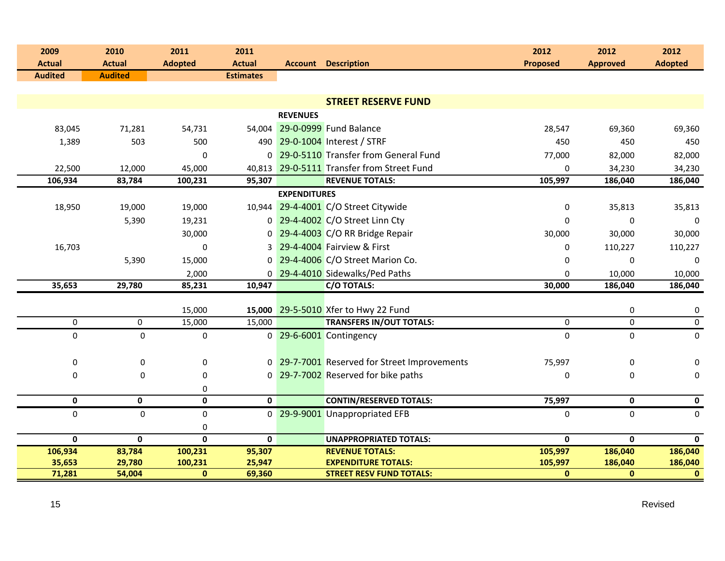| 2009<br><b>Actual</b> | 2010<br><b>Actual</b> | 2011<br><b>Adopted</b>  | 2011<br><b>Actual</b> |                     | <b>Account Description</b>                   | 2012<br>Proposed | 2012<br><b>Approved</b> | 2012<br><b>Adopted</b>   |
|-----------------------|-----------------------|-------------------------|-----------------------|---------------------|----------------------------------------------|------------------|-------------------------|--------------------------|
| <b>Audited</b>        | <b>Audited</b>        |                         | <b>Estimates</b>      |                     |                                              |                  |                         |                          |
|                       |                       |                         |                       |                     |                                              |                  |                         |                          |
|                       |                       |                         |                       |                     | <b>STREET RESERVE FUND</b>                   |                  |                         |                          |
|                       |                       |                         |                       | <b>REVENUES</b>     |                                              |                  |                         |                          |
| 83,045                | 71,281                | 54,731                  |                       |                     | 54,004 29-0-0999 Fund Balance                | 28,547           | 69,360                  | 69,360                   |
| 1,389                 | 503                   | 500                     |                       |                     | 490 29-0-1004 Interest / STRF                | 450              | 450                     | 450                      |
|                       |                       | $\mathbf{0}$            |                       |                     | 0 29-0-5110 Transfer from General Fund       | 77,000           | 82,000                  | 82,000                   |
| 22,500                | 12,000                | 45,000                  |                       |                     | 40,813 29-0-5111 Transfer from Street Fund   | $\Omega$         | 34,230                  | 34,230                   |
| 106,934               | 83,784                | 100,231                 | 95,307                |                     | <b>REVENUE TOTALS:</b>                       | 105,997          | 186,040                 | 186,040                  |
|                       |                       |                         |                       | <b>EXPENDITURES</b> |                                              |                  |                         |                          |
| 18,950                | 19,000                | 19,000                  |                       |                     | 10,944 29-4-4001 C/O Street Citywide         | 0                | 35,813                  | 35,813                   |
|                       | 5,390                 | 19,231                  |                       |                     | 0 29-4-4002 C/O Street Linn Cty              | $\Omega$         | $\Omega$                | $\mathbf 0$              |
|                       |                       | 30,000                  |                       |                     | 0 29-4-4003 C/O RR Bridge Repair             | 30,000           | 30,000                  | 30,000                   |
| 16,703                |                       | $\mathbf 0$             |                       |                     | 3 29-4-4004 Fairview & First                 | 0                | 110,227                 | 110,227                  |
|                       | 5,390                 | 15,000                  |                       |                     | 0 29-4-4006 C/O Street Marion Co.            | $\Omega$         | $\Omega$                | $\Omega$                 |
|                       |                       | 2,000                   |                       |                     | 0 29-4-4010 Sidewalks/Ped Paths              | $\Omega$         | 10,000                  | 10,000                   |
| 35,653                | 29,780                | 85,231                  | 10,947                |                     | <b>C/O TOTALS:</b>                           | 30,000           | 186,040                 | 186,040                  |
|                       |                       |                         |                       |                     | 15,000 29-5-5010 Xfer to Hwy 22 Fund         |                  |                         |                          |
| $\pmb{0}$             | $\mathbf 0$           | 15,000<br>15,000        | 15,000                |                     | <b>TRANSFERS IN/OUT TOTALS:</b>              | $\mathbf 0$      | 0<br>$\mathbf 0$        | 0<br>$\mathsf{O}\xspace$ |
| $\mathsf{O}\xspace$   | $\pmb{0}$             | $\pmb{0}$               |                       |                     | 0 29-6-6001 Contingency                      | $\mathbf 0$      | $\mathbf 0$             | $\mathbf 0$              |
|                       |                       |                         |                       |                     |                                              |                  |                         |                          |
| $\pmb{0}$             | 0                     | 0                       |                       |                     | 0 29-7-7001 Reserved for Street Improvements | 75,997           | $\mathbf 0$             | 0                        |
| $\pmb{0}$             | $\mathbf 0$           | $\pmb{0}$               |                       |                     | 0 29-7-7002 Reserved for bike paths          | 0                | 0                       | $\pmb{0}$                |
|                       |                       | 0                       |                       |                     |                                              |                  |                         |                          |
| 0                     | 0                     | $\mathbf 0$             | $\mathbf 0$           |                     | <b>CONTIN/RESERVED TOTALS:</b>               | 75,997           | $\mathbf 0$             | $\mathbf 0$              |
| $\mathbf 0$           | $\pmb{0}$             | $\pmb{0}$               |                       |                     | 0 29-9-9001 Unappropriated EFB               | $\mathbf 0$      | $\mathbf 0$             | $\mathbf 0$              |
|                       |                       | 0                       |                       |                     |                                              |                  |                         |                          |
| $\mathbf 0$           | $\mathbf 0$           | $\overline{\mathbf{0}}$ | $\mathbf{0}$          |                     | <b>UNAPPROPRIATED TOTALS:</b>                | $\mathbf{0}$     | $\mathbf 0$             | $\mathbf 0$              |
| 106,934               | 83,784                | 100,231                 | 95,307                |                     | <b>REVENUE TOTALS:</b>                       | 105,997          | 186,040                 | 186,040                  |
| 35,653                | 29,780                | 100,231                 | 25,947                |                     | <b>EXPENDITURE TOTALS:</b>                   | 105,997          | 186,040                 | 186,040                  |
| 71,281                | 54,004                | $\pmb{0}$               | 69,360                |                     | <b>STREET RESV FUND TOTALS:</b>              | $\mathbf{0}$     | $\mathbf{0}$            | $\pmb{0}$                |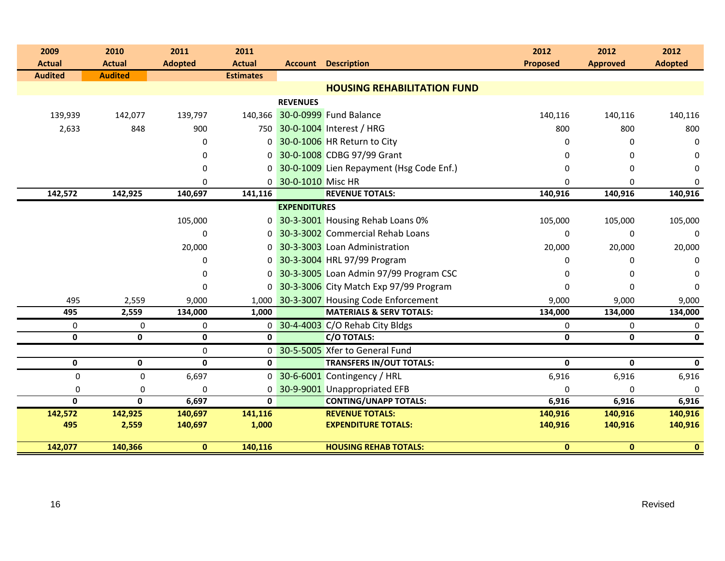| 2009           | 2010           | 2011           | 2011             |                     |                                          | 2012            | 2012            | 2012           |
|----------------|----------------|----------------|------------------|---------------------|------------------------------------------|-----------------|-----------------|----------------|
| <b>Actual</b>  | <b>Actual</b>  | <b>Adopted</b> | <b>Actual</b>    |                     | <b>Account Description</b>               | <b>Proposed</b> | <b>Approved</b> | <b>Adopted</b> |
| <b>Audited</b> | <b>Audited</b> |                | <b>Estimates</b> |                     |                                          |                 |                 |                |
|                |                |                |                  |                     | <b>HOUSING REHABILITATION FUND</b>       |                 |                 |                |
|                |                |                |                  | <b>REVENUES</b>     |                                          |                 |                 |                |
| 139,939        | 142,077        | 139,797        |                  |                     | 140,366 30-0-0999 Fund Balance           | 140,116         | 140,116         | 140,116        |
| 2,633          | 848            | 900            |                  |                     | 750 30-0-1004 Interest / HRG             | 800             | 800             | 800            |
|                |                | 0              |                  |                     | 0 30-0-1006 HR Return to City            | 0               | 0               | 0              |
|                |                | 0              | 0                |                     | 30-0-1008 CDBG 97/99 Grant               | 0               | 0               | 0              |
|                |                | 0              | $\overline{0}$   |                     | 30-0-1009 Lien Repayment (Hsg Code Enf.) | 0               | 0               | 0              |
|                |                | 0              |                  | 0 30-0-1010 Misc HR |                                          | 0               | 0               | 0              |
| 142,572        | 142,925        | 140,697        | 141,116          |                     | <b>REVENUE TOTALS:</b>                   | 140,916         | 140,916         | 140,916        |
|                |                |                |                  | <b>EXPENDITURES</b> |                                          |                 |                 |                |
|                |                | 105,000        |                  |                     | 0 30-3-3001 Housing Rehab Loans 0%       | 105,000         | 105,000         | 105,000        |
|                |                | $\Omega$       |                  |                     | 0 30-3-3002 Commercial Rehab Loans       | 0               | 0               | 0              |
|                |                | 20,000         |                  |                     | 0 30-3-3003 Loan Administration          | 20,000          | 20,000          | 20,000         |
|                |                | 0              |                  |                     | 0 30-3-3004 HRL 97/99 Program            | 0               | 0               | $\Omega$       |
|                |                | 0              | $\overline{0}$   |                     | 30-3-3005 Loan Admin 97/99 Program CSC   | 0               | 0               | 0              |
|                |                | 0              |                  |                     | 0 30-3-3006 City Match Exp 97/99 Program | 0               | 0               | $\Omega$       |
| 495            | 2,559          | 9,000          | 1,000            |                     | 30-3-3007 Housing Code Enforcement       | 9,000           | 9,000           | 9,000          |
| 495            | 2,559          | 134,000        | 1,000            |                     | <b>MATERIALS &amp; SERV TOTALS:</b>      | 134,000         | 134,000         | 134,000        |
| 0              | $\mathbf 0$    | 0              |                  |                     | 0 30-4-4003 C/O Rehab City Bldgs         | 0               | 0               | 0              |
| 0              | 0              | $\mathbf 0$    | 0                |                     | <b>C/O TOTALS:</b>                       | $\mathbf 0$     | $\mathbf{0}$    | $\mathbf 0$    |
|                |                | 0              | 0                |                     | 30-5-5005 Xfer to General Fund           |                 |                 |                |
| $\mathbf 0$    | 0              | $\pmb{0}$      | $\pmb{0}$        |                     | <b>TRANSFERS IN/OUT TOTALS:</b>          | $\mathbf 0$     | 0               | 0              |
| 0              | $\mathbf 0$    | 6,697          |                  |                     | 0 30-6-6001 Contingency / HRL            | 6,916           | 6,916           | 6,916          |
| $\pmb{0}$      | $\mathbf 0$    | 0              | 0                |                     | 30-9-9001 Unappropriated EFB             | 0               | 0               | $\Omega$       |
| $\mathbf{0}$   | $\mathbf{0}$   | 6,697          | $\mathbf{0}$     |                     | <b>CONTING/UNAPP TOTALS:</b>             | 6,916           | 6,916           | 6,916          |
| 142,572        | 142,925        | 140,697        | 141,116          |                     | <b>REVENUE TOTALS:</b>                   | 140,916         | 140,916         | 140,916        |
| 495            | 2,559          | 140,697        | 1,000            |                     | <b>EXPENDITURE TOTALS:</b>               | 140,916         | 140,916         | 140,916        |
| 142,077        | 140,366        | $\mathbf{0}$   | 140,116          |                     | <b>HOUSING REHAB TOTALS:</b>             | $\mathbf{0}$    | $\mathbf{0}$    | $\mathbf{0}$   |
|                |                |                |                  |                     |                                          |                 |                 |                |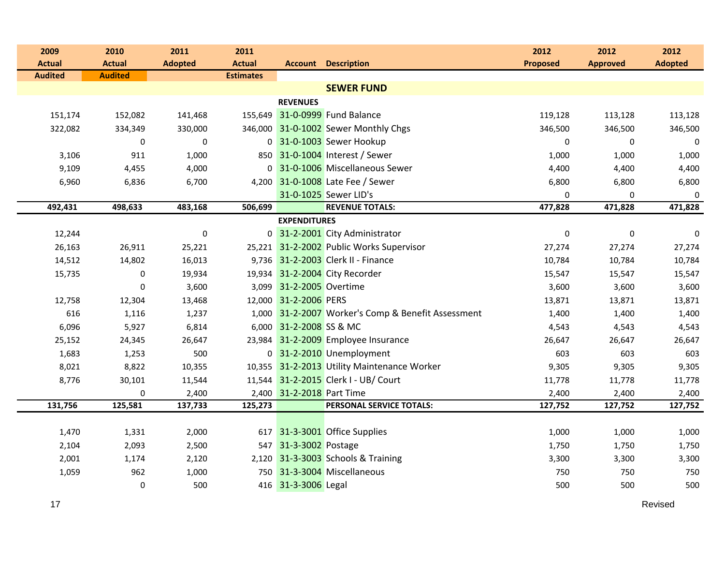| 2009           | 2010             | 2011           | 2011             |                           |                                                    | 2012            | 2012            | 2012             |
|----------------|------------------|----------------|------------------|---------------------------|----------------------------------------------------|-----------------|-----------------|------------------|
| <b>Actual</b>  | <b>Actual</b>    | <b>Adopted</b> | <b>Actual</b>    |                           | <b>Account Description</b>                         | <b>Proposed</b> | <b>Approved</b> | <b>Adopted</b>   |
| <b>Audited</b> | <b>Audited</b>   |                | <b>Estimates</b> |                           |                                                    |                 |                 |                  |
|                |                  |                |                  |                           | <b>SEWER FUND</b>                                  |                 |                 |                  |
|                |                  |                |                  | <b>REVENUES</b>           |                                                    |                 |                 |                  |
| 151,174        | 152,082          | 141,468        |                  |                           | 155,649 31-0-0999 Fund Balance                     | 119,128         | 113,128         | 113,128          |
| 322,082        | 334,349          | 330,000        |                  |                           | 346,000 31-0-1002 Sewer Monthly Chgs               | 346,500         | 346,500         | 346,500          |
|                | $\boldsymbol{0}$ | $\pmb{0}$      |                  |                           | 0 31-0-1003 Sewer Hookup                           | $\mathbf 0$     | $\mathbf 0$     | $\boldsymbol{0}$ |
| 3,106          | 911              | 1,000          |                  |                           | 850 31-0-1004 Interest / Sewer                     | 1,000           | 1,000           | 1,000            |
| 9,109          | 4,455            | 4,000          |                  |                           | 0 31-0-1006 Miscellaneous Sewer                    | 4,400           | 4,400           | 4,400            |
| 6,960          | 6,836            | 6,700          |                  |                           | 4,200 31-0-1008 Late Fee / Sewer                   | 6,800           | 6,800           | 6,800            |
|                |                  |                |                  |                           | 31-0-1025 Sewer LID's                              | $\Omega$        | 0               | $\mathbf 0$      |
| 492,431        | 498,633          | 483,168        | 506,699          |                           | <b>REVENUE TOTALS:</b>                             | 477,828         | 471,828         | 471,828          |
|                |                  |                |                  | <b>EXPENDITURES</b>       |                                                    |                 |                 |                  |
| 12,244         |                  | $\pmb{0}$      |                  |                           | 0 31-2-2001 City Administrator                     | $\mathbf 0$     | $\mathbf 0$     | $\mathbf 0$      |
| 26,163         | 26,911           | 25,221         |                  |                           | 25,221 31-2-2002 Public Works Supervisor           | 27,274          | 27,274          | 27,274           |
| 14,512         | 14,802           | 16,013         |                  |                           | 9,736 31-2-2003 Clerk II - Finance                 | 10,784          | 10,784          | 10,784           |
| 15,735         | $\pmb{0}$        | 19,934         |                  |                           | 19,934 31-2-2004 City Recorder                     | 15,547          | 15,547          | 15,547           |
|                | $\mathbf 0$      | 3,600          |                  | 3,099 31-2-2005 Overtime  |                                                    | 3,600           | 3,600           | 3,600            |
| 12,758         | 12,304           | 13,468         |                  | 12,000 31-2-2006 PERS     |                                                    | 13,871          | 13,871          | 13,871           |
| 616            | 1,116            | 1,237          |                  |                           | 1,000 31-2-2007 Worker's Comp & Benefit Assessment | 1,400           | 1,400           | 1,400            |
| 6,096          | 5,927            | 6,814          |                  | 6,000 31-2-2008 SS & MC   |                                                    | 4,543           | 4,543           | 4,543            |
| 25,152         | 24,345           | 26,647         |                  |                           | 23,984 31-2-2009 Employee Insurance                | 26,647          | 26,647          | 26,647           |
| 1,683          | 1,253            | 500            |                  |                           | 0 31-2-2010 Unemployment                           | 603             | 603             | 603              |
| 8,021          | 8,822            | 10,355         |                  |                           | 10,355 31-2-2013 Utility Maintenance Worker        | 9,305           | 9,305           | 9,305            |
| 8,776          | 30,101           | 11,544         |                  |                           | 11,544 31-2-2015 Clerk I - UB/ Court               | 11,778          | 11,778          | 11,778           |
|                | $\boldsymbol{0}$ | 2,400          |                  | 2,400 31-2-2018 Part Time |                                                    | 2,400           | 2,400           | 2,400            |
| 131,756        | 125,581          | 137,733        | 125,273          |                           | PERSONAL SERVICE TOTALS:                           | 127,752         | 127,752         | 127,752          |
|                |                  |                |                  |                           |                                                    |                 |                 |                  |
| 1,470          | 1,331            | 2,000          |                  |                           | 617 31-3-3001 Office Supplies                      | 1,000           | 1,000           | 1,000            |
| 2,104          | 2,093            | 2,500          |                  | 547 31-3-3002 Postage     |                                                    | 1,750           | 1,750           | 1,750            |
| 2,001          | 1,174            | 2,120          |                  |                           | 2,120 31-3-3003 Schools & Training                 | 3,300           | 3,300           | 3,300            |
| 1,059          | 962              | 1,000          |                  |                           | 750 31-3-3004 Miscellaneous                        | 750             | 750             | 750              |
|                | $\pmb{0}$        | 500            |                  | 416 31-3-3006 Legal       |                                                    | 500             | 500             | 500              |

17

en die staatsland van die koningste verwys van die stadium van die stadium van die koningste verwys van die st<br>Die stadium van die stadium van die stadium van die stadium van die stadium van die stadium van die stadium va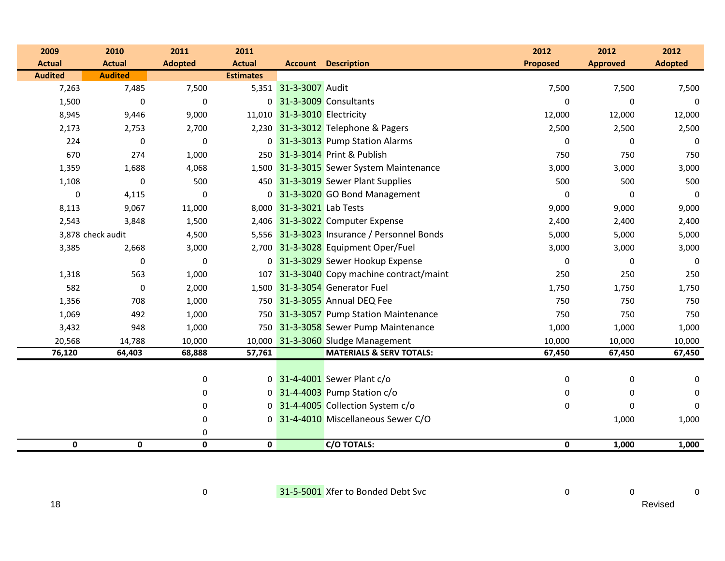| 2009           | 2010              | 2011           | 2011             |                              |                                             | 2012            | 2012             | 2012           |
|----------------|-------------------|----------------|------------------|------------------------------|---------------------------------------------|-----------------|------------------|----------------|
| <b>Actual</b>  | <b>Actual</b>     | <b>Adopted</b> | <b>Actual</b>    |                              | <b>Account Description</b>                  | <b>Proposed</b> | <b>Approved</b>  | <b>Adopted</b> |
| <b>Audited</b> | <b>Audited</b>    |                | <b>Estimates</b> |                              |                                             |                 |                  |                |
| 7,263          | 7,485             | 7,500          |                  | 5,351 31-3-3007 Audit        |                                             | 7,500           | 7,500            | 7,500          |
| 1,500          | $\mathbf 0$       | $\pmb{0}$      |                  |                              | 0 31-3-3009 Consultants                     | $\Omega$        | $\mathbf 0$      | 0              |
| 8,945          | 9,446             | 9,000          |                  | 11,010 31-3-3010 Electricity |                                             | 12,000          | 12,000           | 12,000         |
| 2,173          | 2,753             | 2,700          |                  |                              | 2,230 31-3-3012 Telephone & Pagers          | 2,500           | 2,500            | 2,500          |
| 224            | $\mathbf 0$       | $\mathbf 0$    |                  |                              | 0 31-3-3013 Pump Station Alarms             | $\Omega$        | $\Omega$         | $\mathbf{0}$   |
| 670            | 274               | 1,000          |                  |                              | 250 31-3-3014 Print & Publish               | 750             | 750              | 750            |
| 1,359          | 1,688             | 4,068          |                  |                              | 1,500 31-3-3015 Sewer System Maintenance    | 3,000           | 3,000            | 3,000          |
| 1,108          | 0                 | 500            |                  |                              | 450 31-3-3019 Sewer Plant Supplies          | 500             | 500              | 500            |
| $\pmb{0}$      | 4,115             | $\Omega$       |                  |                              | 0 31-3-3020 GO Bond Management              | $\Omega$        | $\Omega$         | $\mathbf{0}$   |
| 8,113          | 9,067             | 11,000         |                  | 8,000 31-3-3021 Lab Tests    |                                             | 9,000           | 9,000            | 9,000          |
| 2,543          | 3,848             | 1,500          |                  |                              | 2,406 31-3-3022 Computer Expense            | 2,400           | 2,400            | 2,400          |
|                | 3,878 check audit | 4,500          |                  |                              | 5,556 31-3-3023 Insurance / Personnel Bonds | 5,000           | 5,000            | 5,000          |
| 3,385          | 2,668             | 3,000          |                  |                              | 2,700 31-3-3028 Equipment Oper/Fuel         | 3,000           | 3,000            | 3,000          |
|                | $\mathbf 0$       | $\mathbf 0$    |                  |                              | 0 31-3-3029 Sewer Hookup Expense            | $\Omega$        | 0                | $\Omega$       |
| 1,318          | 563               | 1,000          |                  |                              | 107 31-3-3040 Copy machine contract/maint   | 250             | 250              | 250            |
| 582            | 0                 | 2,000          |                  |                              | 1,500 31-3-3054 Generator Fuel              | 1,750           | 1,750            | 1,750          |
| 1,356          | 708               | 1,000          |                  |                              | 750 31-3-3055 Annual DEQ Fee                | 750             | 750              | 750            |
| 1,069          | 492               | 1,000          |                  |                              | 750 31-3-3057 Pump Station Maintenance      | 750             | 750              | 750            |
| 3,432          | 948               | 1,000          |                  |                              | 750 31-3-3058 Sewer Pump Maintenance        | 1,000           | 1,000            | 1,000          |
| 20,568         | 14,788            | 10,000         |                  |                              | 10,000 31-3-3060 Sludge Management          | 10,000          | 10,000           | 10,000         |
| 76,120         | 64,403            | 68,888         | 57,761           |                              | <b>MATERIALS &amp; SERV TOTALS:</b>         | 67,450          | 67,450           | 67,450         |
|                |                   |                |                  |                              |                                             |                 |                  |                |
|                |                   | $\pmb{0}$      |                  |                              | 0 31-4-4001 Sewer Plant c/o                 | 0               | $\boldsymbol{0}$ | 0              |
|                |                   | 0              |                  |                              | $0\overline{31-4-4003}$ Pump Station $c/o$  | 0               | 0                | $\Omega$       |
|                |                   | 0              | $\overline{0}$   |                              | 31-4-4005 Collection System c/o             | 0               | $\mathbf 0$      | 0              |
|                |                   | 0              | 0                |                              | 31-4-4010 Miscellaneous Sewer C/O           |                 | 1,000            | 1,000          |
|                |                   | 0              |                  |                              |                                             |                 |                  |                |
| 0              | 0                 | $\pmb{0}$      | 0                |                              | C/O TOTALS:                                 | $\mathbf 0$     | 1,000            | 1,000          |

0

0 <mark>31-5-5001</mark> Xfer to Bonded Debt Svc 0 0 0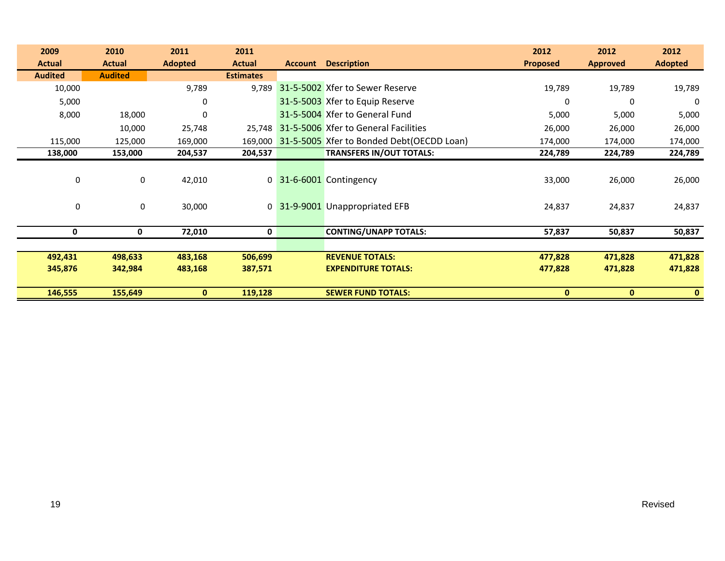| 2009           | 2010           | 2011             | 2011             |                |                                           | 2012            | 2012            | 2012           |
|----------------|----------------|------------------|------------------|----------------|-------------------------------------------|-----------------|-----------------|----------------|
| <b>Actual</b>  | <b>Actual</b>  | <b>Adopted</b>   | <b>Actual</b>    | <b>Account</b> | <b>Description</b>                        | <b>Proposed</b> | <b>Approved</b> | <b>Adopted</b> |
| <b>Audited</b> | <b>Audited</b> |                  | <b>Estimates</b> |                |                                           |                 |                 |                |
| 10,000         |                | 9,789            | 9,789            |                | 31-5-5002 Xfer to Sewer Reserve           | 19,789          | 19,789          | 19,789         |
| 5,000          |                | 0                |                  |                | 31-5-5003 Xfer to Equip Reserve           | 0               | 0               | 0              |
| 8,000          | 18,000         | $\boldsymbol{0}$ |                  |                | 31-5-5004 Xfer to General Fund            | 5,000           | 5,000           | 5,000          |
|                | 10,000         | 25,748           | 25,748           |                | 31-5-5006 Xfer to General Facilities      | 26,000          | 26,000          | 26,000         |
| 115,000        | 125,000        | 169,000          | 169,000          |                | 31-5-5005 Xfer to Bonded Debt(OECDD Loan) | 174,000         | 174,000         | 174,000        |
| 138,000        | 153,000        | 204,537          | 204,537          |                | <b>TRANSFERS IN/OUT TOTALS:</b>           | 224,789         | 224,789         | 224,789        |
|                |                |                  |                  |                |                                           |                 |                 |                |
| 0              | 0              | 42,010           |                  |                | 0 31-6-6001 Contingency                   | 33,000          | 26,000          | 26,000         |
|                |                |                  |                  |                |                                           |                 |                 |                |
| 0              | 0              | 30,000           |                  |                | 0 31-9-9001 Unappropriated EFB            | 24,837          | 24,837          | 24,837         |
|                |                |                  |                  |                |                                           |                 |                 |                |
| 0              | 0              | 72,010           | 0                |                | <b>CONTING/UNAPP TOTALS:</b>              | 57,837          | 50,837          | 50,837         |
|                |                |                  |                  |                |                                           |                 |                 |                |
| 492,431        | 498,633        | 483,168          | 506,699          |                | <b>REVENUE TOTALS:</b>                    | 477,828         | 471,828         | 471,828        |
| 345,876        | 342,984        | 483,168          | 387,571          |                | <b>EXPENDITURE TOTALS:</b>                | 477,828         | 471,828         | 471,828        |
|                |                |                  |                  |                |                                           |                 |                 |                |
| 146,555        | 155,649        | $\mathbf{0}$     | 119,128          |                | <b>SEWER FUND TOTALS:</b>                 | $\mathbf{0}$    | $\mathbf{0}$    | $\bf{0}$       |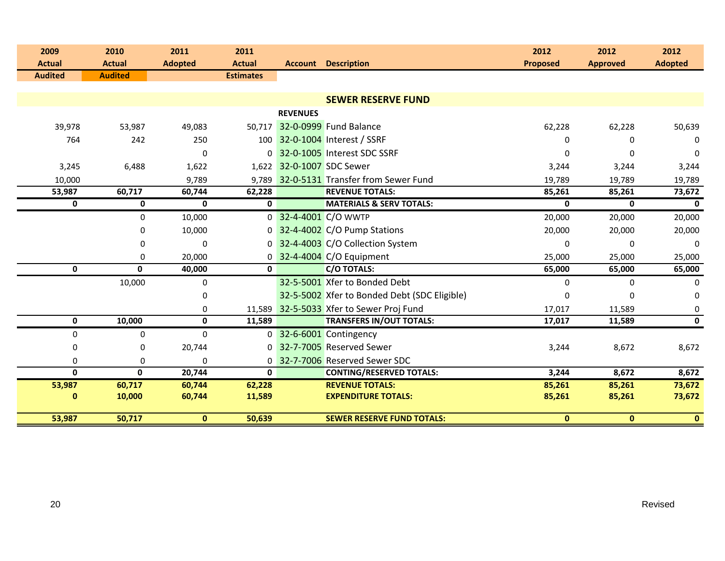| 2009<br><b>Actual</b> | 2010<br><b>Actual</b> | 2011<br><b>Adopted</b> | 2011<br><b>Actual</b> |                 | <b>Account Description</b>                   | 2012<br><b>Proposed</b> | 2012<br><b>Approved</b> | 2012<br><b>Adopted</b> |
|-----------------------|-----------------------|------------------------|-----------------------|-----------------|----------------------------------------------|-------------------------|-------------------------|------------------------|
| <b>Audited</b>        | <b>Audited</b>        |                        | <b>Estimates</b>      |                 |                                              |                         |                         |                        |
|                       |                       |                        |                       |                 |                                              |                         |                         |                        |
|                       |                       |                        |                       |                 | <b>SEWER RESERVE FUND</b>                    |                         |                         |                        |
|                       |                       |                        |                       | <b>REVENUES</b> |                                              |                         |                         |                        |
| 39,978                | 53,987                | 49,083                 | 50.717                |                 | 32-0-0999 Fund Balance                       | 62,228                  | 62,228                  | 50,639                 |
| 764                   | 242                   | 250                    |                       |                 | 100 32-0-1004 Interest / SSRF                | 0                       | $\Omega$                | $\Omega$               |
|                       |                       | $\mathbf 0$            |                       |                 | 0 32-0-1005 Interest SDC SSRF                | <sup>0</sup>            | $\Omega$                | $\Omega$               |
| 3,245                 | 6,488                 | 1,622                  |                       |                 | 1,622 32-0-1007 SDC Sewer                    | 3,244                   | 3,244                   | 3,244                  |
| 10,000                |                       | 9,789                  |                       |                 | 9.789 32-0-5131 Transfer from Sewer Fund     | 19,789                  | 19,789                  | 19,789                 |
| 53,987                | 60,717                | 60,744                 | 62,228                |                 | <b>REVENUE TOTALS:</b>                       | 85,261                  | 85,261                  | 73,672                 |
| 0                     | $\mathbf 0$           | $\mathbf{0}$           | $\mathbf{0}$          |                 | <b>MATERIALS &amp; SERV TOTALS:</b>          | 0                       | $\mathbf{0}$            | $\mathbf{0}$           |
|                       | $\mathbf 0$           | 10,000                 | 0                     |                 | 32-4-4001 C/O WWTP                           | 20,000                  | 20,000                  | 20,000                 |
|                       | 0                     | 10,000                 | $\Omega$              |                 | 32-4-4002 C/O Pump Stations                  | 20,000                  | 20,000                  | 20,000                 |
|                       | 0                     | $\Omega$               |                       |                 | 0 32-4-4003 C/O Collection System            | $\Omega$                | $\Omega$                | $\Omega$               |
|                       | $\Omega$              | 20,000                 | $\Omega$              |                 | 32-4-4004 C/O Equipment                      | 25,000                  | 25,000                  | 25,000                 |
| $\mathbf 0$           | $\mathbf{0}$          | 40,000                 | $\mathbf{0}$          |                 | <b>C/O TOTALS:</b>                           | 65,000                  | 65,000                  | 65,000                 |
|                       | 10,000                | 0                      |                       |                 | 32-5-5001 Xfer to Bonded Debt                | $\mathbf 0$             | $\Omega$                | 0                      |
|                       |                       | 0                      |                       |                 | 32-5-5002 Xfer to Bonded Debt (SDC Eligible) | 0                       | 0                       | 0                      |
|                       |                       | 0                      |                       |                 | 11,589 32-5-5033 Xfer to Sewer Proj Fund     | 17,017                  | 11,589                  | 0                      |
| $\mathbf 0$           | 10,000                | 0                      | 11,589                |                 | <b>TRANSFERS IN/OUT TOTALS:</b>              | 17,017                  | 11,589                  | $\mathbf{0}$           |
| 0                     | $\mathbf{0}$          | $\Omega$               | $\mathbf{0}$          |                 | 32-6-6001 Contingency                        |                         |                         |                        |
| 0                     | 0                     | 20,744                 |                       |                 | 0 32-7-7005 Reserved Sewer                   | 3,244                   | 8,672                   | 8,672                  |
| 0                     | $\mathbf 0$           | 0                      | 0                     |                 | 32-7-7006 Reserved Sewer SDC                 |                         |                         |                        |
| $\mathbf{0}$          | 0                     | 20,744                 | $\mathbf{0}$          |                 | <b>CONTING/RESERVED TOTALS:</b>              | 3,244                   | 8,672                   | 8,672                  |
| 53,987                | 60,717                | 60,744                 | 62,228                |                 | <b>REVENUE TOTALS:</b>                       | 85,261                  | 85,261                  | 73,672                 |
| $\bf{0}$              | 10,000                | 60,744                 | 11,589                |                 | <b>EXPENDITURE TOTALS:</b>                   | 85,261                  | 85,261                  | 73,672                 |
| 53,987                | 50,717                | $\mathbf{0}$           | 50,639                |                 | <b>SEWER RESERVE FUND TOTALS:</b>            | $\mathbf{0}$            | $\mathbf{0}$            | $\mathbf{0}$           |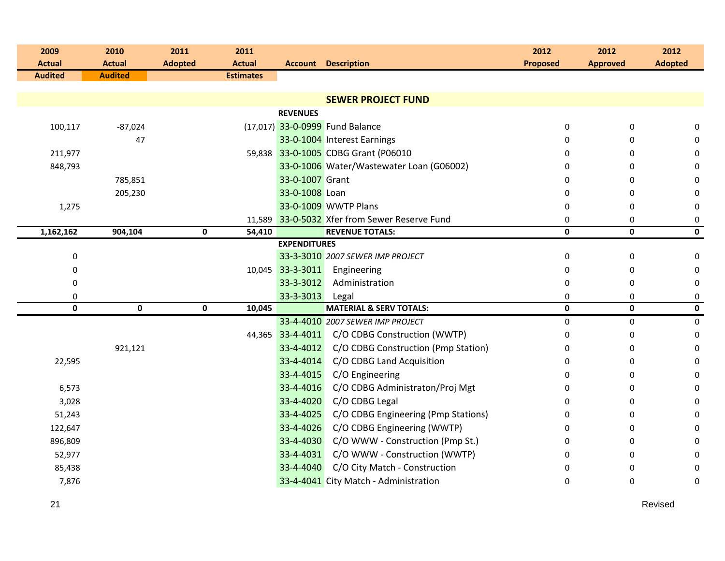| 2009<br><b>Actual</b> | 2010<br><b>Actual</b> | 2011<br>2011<br><b>Adopted</b><br><b>Actual</b> |                     | <b>Account Description</b>                    | 2012<br><b>Proposed</b> | 2012<br><b>Approved</b> | 2012<br><b>Adopted</b> |
|-----------------------|-----------------------|-------------------------------------------------|---------------------|-----------------------------------------------|-------------------------|-------------------------|------------------------|
| <b>Audited</b>        | <b>Audited</b>        | <b>Estimates</b>                                |                     |                                               |                         |                         |                        |
|                       |                       |                                                 |                     |                                               |                         |                         |                        |
|                       |                       |                                                 |                     | <b>SEWER PROJECT FUND</b>                     |                         |                         |                        |
|                       |                       |                                                 | <b>REVENUES</b>     |                                               |                         |                         |                        |
| 100,117               | $-87,024$             |                                                 |                     | (17,017) 33-0-0999 Fund Balance               | 0                       | 0                       | 0                      |
|                       | 47                    |                                                 |                     | 33-0-1004 Interest Earnings                   | $\Omega$                | $\Omega$                | 0                      |
| 211,977               |                       |                                                 |                     | 59,838 33-0-1005 CDBG Grant (P06010           | $\Omega$                | $\Omega$                | 0                      |
| 848,793               |                       |                                                 |                     | 33-0-1006 Water/Wastewater Loan (G06002)      | $\Omega$                | $\Omega$                | 0                      |
|                       | 785,851               |                                                 | 33-0-1007 Grant     |                                               | 0                       | 0                       | 0                      |
|                       | 205,230               |                                                 | 33-0-1008 Loan      |                                               | 0                       | 0                       | $\boldsymbol{0}$       |
| 1,275                 |                       |                                                 |                     | 33-0-1009 WWTP Plans                          | 0                       | $\Omega$                | $\boldsymbol{0}$       |
|                       |                       |                                                 |                     | 11,589 33-0-5032 Xfer from Sewer Reserve Fund | 0                       | $\Omega$                | $\boldsymbol{0}$       |
| 1,162,162             | 904,104               | $\mathbf 0$<br>54,410                           |                     | <b>REVENUE TOTALS:</b>                        | $\mathbf 0$             | $\mathbf 0$             | $\mathbf 0$            |
|                       |                       |                                                 | <b>EXPENDITURES</b> |                                               |                         |                         |                        |
| 0                     |                       |                                                 |                     | 33-3-3010 2007 SEWER IMP PROJECT              | $\pmb{0}$               | 0                       | $\pmb{0}$              |
| 0                     |                       |                                                 | 10,045 33-3-3011    | Engineering                                   | 0                       | 0                       | $\mathbf 0$            |
| 0                     |                       |                                                 | 33-3-3012           | Administration                                | 0                       | 0                       | $\mathbf 0$            |
| 0<br>$\mathbf{0}$     | $\mathbf{0}$          | $\mathbf{0}$<br>10,045                          | 33-3-3013           | Legal<br><b>MATERIAL &amp; SERV TOTALS:</b>   | 0<br>0                  | 0<br>$\mathbf{0}$       | $\pmb{0}$<br>0         |
|                       |                       |                                                 |                     | 33-4-4010 2007 SEWER IMP PROJECT              | $\pmb{0}$               | 0                       | $\pmb{0}$              |
|                       |                       |                                                 |                     | 44,365 33-4-4011 C/O CDBG Construction (WWTP) | 0                       | 0                       | $\boldsymbol{0}$       |
|                       | 921,121               |                                                 | 33-4-4012           | C/O CDBG Construction (Pmp Station)           | 0                       | 0                       | 0                      |
| 22,595                |                       |                                                 | 33-4-4014           | C/O CDBG Land Acquisition                     | $\Omega$                | $\Omega$                | $\mathbf 0$            |
|                       |                       |                                                 | 33-4-4015           | C/O Engineering                               | $\Omega$                | $\Omega$                | 0                      |
| 6,573                 |                       |                                                 | 33-4-4016           | C/O CDBG Administraton/Proj Mgt               | 0                       | 0                       | 0                      |
| 3,028                 |                       |                                                 | 33-4-4020           | C/O CDBG Legal                                | 0                       | 0                       | $\mathbf 0$            |
| 51,243                |                       |                                                 | 33-4-4025           | C/O CDBG Engineering (Pmp Stations)           | 0                       | 0                       | 0                      |
| 122,647               |                       |                                                 | 33-4-4026           | C/O CDBG Engineering (WWTP)                   | $\Omega$                | $\Omega$                | 0                      |
| 896,809               |                       |                                                 | 33-4-4030           | C/O WWW - Construction (Pmp St.)              | $\Omega$                | $\Omega$                | 0                      |
| 52,977                |                       |                                                 |                     | 33-4-4031 C/O WWW - Construction (WWTP)       | 0                       | 0                       | 0                      |
| 85,438                |                       |                                                 | 33-4-4040           | C/O City Match - Construction                 | 0                       | 0                       | 0                      |
| 7,876                 |                       |                                                 |                     | 33-4-4041 City Match - Administration         | $\Omega$                | 0                       | $\pmb{0}$              |
|                       |                       |                                                 |                     |                                               |                         |                         |                        |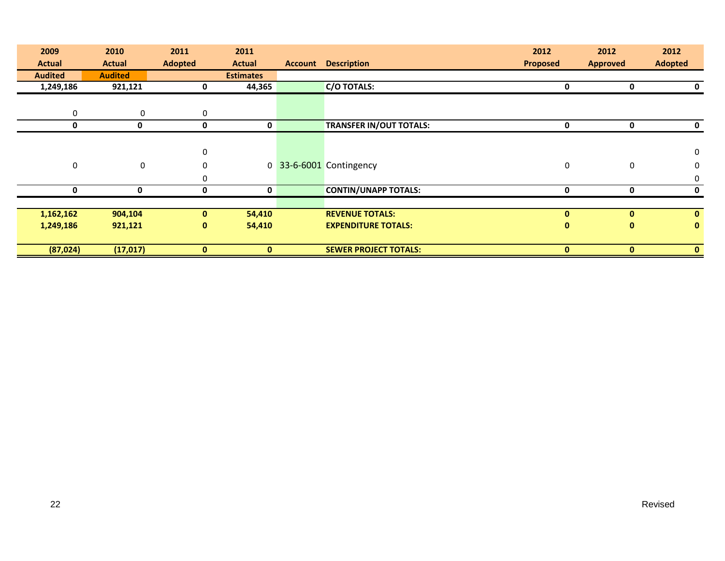| 2009           | 2010           | 2011           | 2011             |                |                                | 2012            | 2012            | 2012           |
|----------------|----------------|----------------|------------------|----------------|--------------------------------|-----------------|-----------------|----------------|
| <b>Actual</b>  | <b>Actual</b>  | <b>Adopted</b> | <b>Actual</b>    | <b>Account</b> | <b>Description</b>             | <b>Proposed</b> | <b>Approved</b> | <b>Adopted</b> |
| <b>Audited</b> | <b>Audited</b> |                | <b>Estimates</b> |                |                                |                 |                 |                |
| 1,249,186      | 921,121        | 0              | 44,365           |                | <b>C/O TOTALS:</b>             | 0               | 0               | 0              |
|                |                |                |                  |                |                                |                 |                 |                |
| 0              | $\mathbf 0$    | $\mathbf 0$    |                  |                |                                |                 |                 |                |
| 0              | 0              | 0              | 0                |                | <b>TRANSFER IN/OUT TOTALS:</b> | 0               | 0               | 0              |
|                |                |                |                  |                |                                |                 |                 |                |
|                |                | $\mathbf 0$    |                  |                |                                |                 |                 | $\mathbf 0$    |
| 0              | $\mathbf 0$    | $\Omega$       |                  |                | 0 33-6-6001 Contingency        | 0               | 0               | $\mathbf 0$    |
|                |                | $\Omega$       |                  |                |                                |                 |                 | 0              |
| 0              | 0              | 0              | 0                |                | <b>CONTIN/UNAPP TOTALS:</b>    | 0               | 0               | 0              |
|                |                |                |                  |                |                                |                 |                 |                |
| 1,162,162      | 904,104        | $\mathbf{0}$   | 54,410           |                | <b>REVENUE TOTALS:</b>         | $\mathbf{0}$    | $\mathbf{0}$    | $\mathbf{0}$   |
| 1,249,186      | 921,121        | $\mathbf{0}$   | 54,410           |                | <b>EXPENDITURE TOTALS:</b>     | $\mathbf{0}$    | $\mathbf{0}$    | $\mathbf{0}$   |
|                |                |                |                  |                |                                |                 |                 |                |
| (87, 024)      | (17, 017)      | $\mathbf{0}$   | $\mathbf{0}$     |                | <b>SEWER PROJECT TOTALS:</b>   | $\mathbf{0}$    | $\mathbf{0}$    | $\mathbf{0}$   |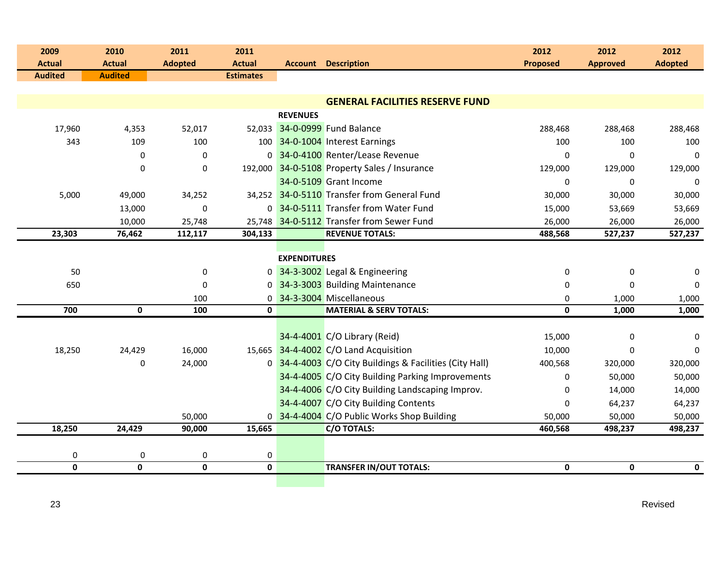| 2009           | 2010             | 2011           | 2011             |                     |                                                         | 2012            | 2012            | 2012           |
|----------------|------------------|----------------|------------------|---------------------|---------------------------------------------------------|-----------------|-----------------|----------------|
| <b>Actual</b>  | <b>Actual</b>    | <b>Adopted</b> | <b>Actual</b>    |                     | <b>Account Description</b>                              | <b>Proposed</b> | <b>Approved</b> | <b>Adopted</b> |
| <b>Audited</b> | <b>Audited</b>   |                | <b>Estimates</b> |                     |                                                         |                 |                 |                |
|                |                  |                |                  |                     | <b>GENERAL FACILITIES RESERVE FUND</b>                  |                 |                 |                |
|                |                  |                |                  | <b>REVENUES</b>     |                                                         |                 |                 |                |
| 17,960         | 4,353            | 52,017         |                  |                     | 52,033 34-0-0999 Fund Balance                           | 288,468         | 288,468         | 288,468        |
| 343            | 109              | 100            |                  |                     | 100 34-0-1004 Interest Earnings                         | 100             | 100             | 100            |
|                | $\Omega$         | $\mathbf 0$    |                  |                     | 0 34-0-4100 Renter/Lease Revenue                        | $\Omega$        | $\Omega$        | $\mathbf{0}$   |
|                | $\pmb{0}$        | 0              |                  |                     | 192,000 34-0-5108 Property Sales / Insurance            | 129,000         | 129,000         | 129,000        |
|                |                  |                |                  |                     | 34-0-5109 Grant Income                                  | 0               | 0               | 0              |
| 5,000          | 49,000           | 34,252         |                  |                     | 34,252 34-0-5110 Transfer from General Fund             | 30,000          | 30,000          | 30,000         |
|                | 13,000           | $\mathbf 0$    |                  |                     | 0 34-0-5111 Transfer from Water Fund                    | 15,000          | 53,669          | 53,669         |
|                | 10,000           | 25,748         |                  |                     | 25,748 34-0-5112 Transfer from Sewer Fund               | 26,000          | 26,000          | 26,000         |
| 23,303         | 76,462           | 112,117        | 304,133          |                     | <b>REVENUE TOTALS:</b>                                  | 488,568         | 527,237         | 527,237        |
|                |                  |                |                  |                     |                                                         |                 |                 |                |
|                |                  |                |                  | <b>EXPENDITURES</b> |                                                         |                 |                 |                |
| 50             |                  | 0              |                  |                     | 0 34-3-3002 Legal & Engineering                         | 0               | 0               | 0              |
| 650            |                  | $\pmb{0}$      |                  |                     | 0 34-3-3003 Building Maintenance                        | 0               | $\Omega$        | $\Omega$       |
|                |                  | 100            |                  |                     | 0 34-3-3004 Miscellaneous                               | 0               | 1,000           | 1,000          |
| 700            | $\mathbf 0$      | 100            | $\pmb{0}$        |                     | <b>MATERIAL &amp; SERV TOTALS:</b>                      | 0               | 1,000           | 1,000          |
|                |                  |                |                  |                     | 34-4-4001 C/O Library (Reid)                            |                 |                 |                |
|                |                  |                |                  |                     |                                                         | 15,000          | $\mathbf 0$     | 0              |
| 18,250         | 24,429           | 16,000         |                  |                     | 15,665 34-4-4002 C/O Land Acquisition                   | 10,000          | $\Omega$        | $\mathbf 0$    |
|                | $\mathbf 0$      | 24,000         |                  |                     | 0 34-4-4003 C/O City Buildings & Facilities (City Hall) | 400,568         | 320,000         | 320,000        |
|                |                  |                |                  |                     | 34-4-4005 C/O City Building Parking Improvements        | $\Omega$        | 50,000          | 50,000         |
|                |                  |                |                  |                     | 34-4-4006 C/O City Building Landscaping Improv.         | 0               | 14,000          | 14,000         |
|                |                  |                |                  |                     | 34-4-4007 C/O City Building Contents                    | 0               | 64,237          | 64,237         |
|                |                  | 50,000         |                  |                     | 0 34-4-4004 C/O Public Works Shop Building              | 50,000          | 50,000          | 50,000         |
| 18,250         | 24,429           | 90,000         | 15,665           |                     | <b>C/O TOTALS:</b>                                      | 460,568         | 498,237         | 498,237        |
|                |                  |                |                  |                     |                                                         |                 |                 |                |
| 0              | $\boldsymbol{0}$ | $\pmb{0}$      | 0                |                     |                                                         |                 |                 |                |
| 0              | $\mathbf 0$      | $\mathbf 0$    | $\mathbf{0}$     |                     | <b>TRANSFER IN/OUT TOTALS:</b>                          | $\mathbf{0}$    | $\mathbf 0$     | $\mathbf 0$    |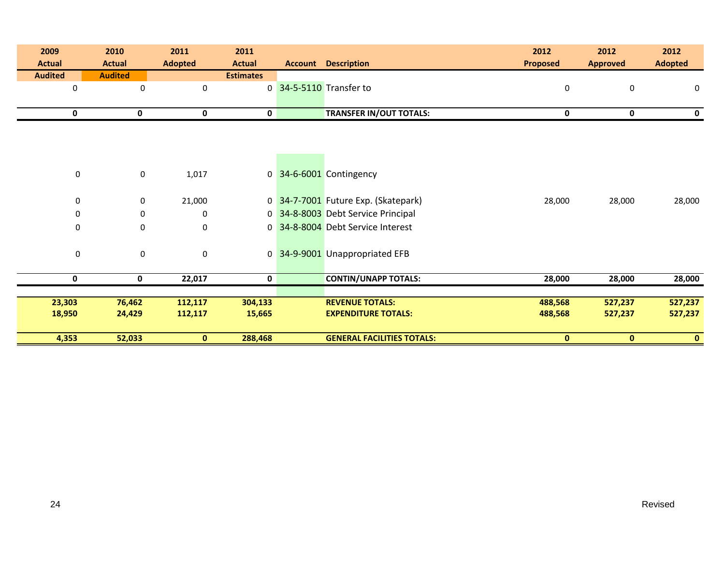| 2009<br><b>Actual</b> | 2010<br><b>Actual</b> | 2011<br><b>Adopted</b> | 2011<br><b>Actual</b> | <b>Account Description</b>          | 2012<br><b>Proposed</b> | 2012<br><b>Approved</b> | 2012<br><b>Adopted</b> |
|-----------------------|-----------------------|------------------------|-----------------------|-------------------------------------|-------------------------|-------------------------|------------------------|
| <b>Audited</b>        | <b>Audited</b>        |                        | <b>Estimates</b>      |                                     |                         |                         |                        |
| $\pmb{0}$             | 0                     | $\pmb{0}$              |                       | 0 34-5-5110 Transfer to             | 0                       | 0                       | 0                      |
|                       |                       |                        |                       |                                     |                         |                         |                        |
| 0                     | $\mathbf 0$           | 0                      | 0                     | <b>TRANSFER IN/OUT TOTALS:</b>      | $\mathbf 0$             | 0                       | $\mathbf 0$            |
|                       |                       |                        |                       |                                     |                         |                         |                        |
|                       |                       |                        |                       |                                     |                         |                         |                        |
|                       |                       |                        |                       |                                     |                         |                         |                        |
| 0                     | $\mathbf 0$           | 1,017                  |                       | 0 34-6-6001 Contingency             |                         |                         |                        |
|                       |                       |                        |                       |                                     |                         |                         |                        |
| $\mathbf 0$           | 0                     | 21,000                 |                       | 0 34-7-7001 Future Exp. (Skatepark) | 28,000                  | 28,000                  | 28,000                 |
| $\mathbf 0$           | 0                     | 0                      |                       | 0 34-8-8003 Debt Service Principal  |                         |                         |                        |
| $\boldsymbol{0}$      | 0                     | $\pmb{0}$              |                       | 0 34-8-8004 Debt Service Interest   |                         |                         |                        |
|                       |                       |                        |                       |                                     |                         |                         |                        |
| $\boldsymbol{0}$      | $\mathbf 0$           | $\pmb{0}$              |                       | 0 34-9-9001 Unappropriated EFB      |                         |                         |                        |
|                       |                       |                        |                       |                                     |                         |                         |                        |
| 0                     | $\mathbf 0$           | 22,017                 | 0                     | <b>CONTIN/UNAPP TOTALS:</b>         | 28,000                  | 28,000                  | 28,000                 |
| 23,303                | 76,462                | 112,117                | 304,133               | <b>REVENUE TOTALS:</b>              | 488,568                 | 527,237                 | 527,237                |
| 18,950                | 24,429                | 112,117                | 15,665                | <b>EXPENDITURE TOTALS:</b>          | 488,568                 | 527,237                 | 527,237                |
|                       |                       |                        |                       |                                     |                         |                         |                        |
| 4,353                 | 52,033                | $\mathbf{0}$           | 288,468               | <b>GENERAL FACILITIES TOTALS:</b>   | $\mathbf{0}$            | $\mathbf{0}$            | $\mathbf{0}$           |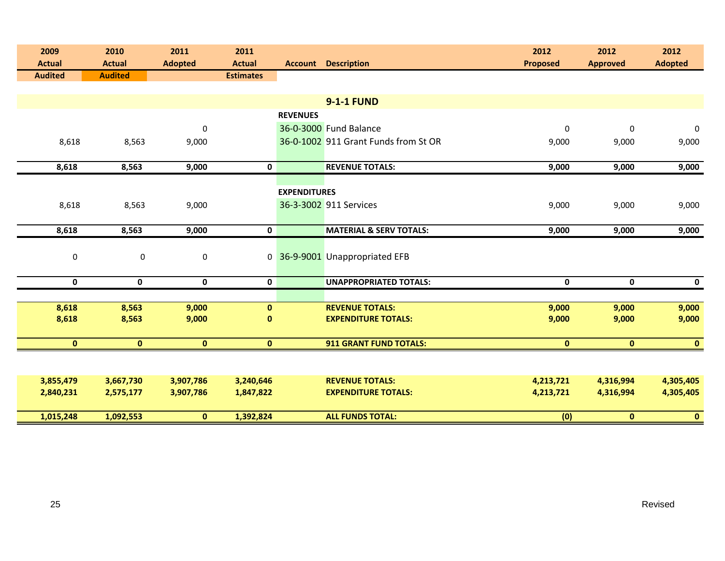| 2009<br><b>Actual</b> | 2010<br><b>Actual</b> | 2011<br><b>Adopted</b> | 2011<br><b>Actual</b> |                     | <b>Account Description</b>           | 2012<br><b>Proposed</b> | 2012<br><b>Approved</b> | 2012<br><b>Adopted</b> |
|-----------------------|-----------------------|------------------------|-----------------------|---------------------|--------------------------------------|-------------------------|-------------------------|------------------------|
| <b>Audited</b>        | <b>Audited</b>        |                        | <b>Estimates</b>      |                     |                                      |                         |                         |                        |
|                       |                       |                        |                       |                     |                                      |                         |                         |                        |
|                       |                       |                        |                       |                     | <b>9-1-1 FUND</b>                    |                         |                         |                        |
|                       |                       |                        |                       | <b>REVENUES</b>     |                                      |                         |                         |                        |
|                       |                       | $\boldsymbol{0}$       |                       |                     | 36-0-3000 Fund Balance               | 0                       | 0                       | $\pmb{0}$              |
| 8,618                 | 8,563                 | 9,000                  |                       |                     | 36-0-1002 911 Grant Funds from St OR | 9,000                   | 9,000                   | 9,000                  |
|                       |                       |                        |                       |                     |                                      |                         |                         |                        |
| 8,618                 | 8,563                 | 9,000                  | $\mathbf 0$           |                     | <b>REVENUE TOTALS:</b>               | 9,000                   | 9,000                   | 9,000                  |
|                       |                       |                        |                       |                     |                                      |                         |                         |                        |
|                       |                       |                        |                       | <b>EXPENDITURES</b> |                                      |                         |                         |                        |
| 8,618                 | 8,563                 | 9,000                  |                       |                     | 36-3-3002 911 Services               | 9,000                   | 9,000                   | 9,000                  |
|                       |                       |                        |                       |                     |                                      |                         |                         |                        |
| 8,618                 | 8,563                 | 9,000                  | 0                     |                     | <b>MATERIAL &amp; SERV TOTALS:</b>   | 9,000                   | 9,000                   | 9,000                  |
|                       |                       |                        |                       |                     |                                      |                         |                         |                        |
| $\pmb{0}$             | $\pmb{0}$             | $\mathbf 0$            |                       |                     | 0 36-9-9001 Unappropriated EFB       |                         |                         |                        |
|                       |                       |                        |                       |                     |                                      |                         |                         |                        |
| $\mathbf 0$           | $\mathbf 0$           | $\mathbf 0$            | 0                     |                     | <b>UNAPPROPRIATED TOTALS:</b>        | $\mathbf 0$             | $\mathbf 0$             | $\mathbf 0$            |
|                       |                       |                        |                       |                     |                                      |                         |                         |                        |
| 8,618                 | 8,563                 | 9,000                  | $\mathbf{0}$          |                     | <b>REVENUE TOTALS:</b>               | 9,000                   | 9,000                   | 9,000                  |
| 8,618                 | 8,563                 | 9,000                  | $\bf{0}$              |                     | <b>EXPENDITURE TOTALS:</b>           | 9,000                   | 9,000                   | 9,000                  |
| $\mathbf{0}$          | $\mathbf{0}$          | $\mathbf{0}$           | $\mathbf{0}$          |                     | <b>911 GRANT FUND TOTALS:</b>        | $\mathbf{0}$            | $\mathbf{0}$            | $\bullet$              |
|                       |                       |                        |                       |                     |                                      |                         |                         |                        |
|                       |                       |                        |                       |                     |                                      |                         |                         |                        |
| 3,855,479             | 3,667,730             | 3,907,786              | 3,240,646             |                     | <b>REVENUE TOTALS:</b>               | 4,213,721               | 4,316,994               | 4,305,405              |
| 2,840,231             | 2,575,177             | 3,907,786              | 1,847,822             |                     | <b>EXPENDITURE TOTALS:</b>           | 4,213,721               | 4,316,994               | 4,305,405              |
|                       |                       |                        |                       |                     |                                      |                         |                         |                        |
| 1,015,248             | 1,092,553             | $\mathbf{0}$           | 1,392,824             |                     | <b>ALL FUNDS TOTAL:</b>              | (0)                     | $\mathbf{0}$            | $\mathbf{0}$           |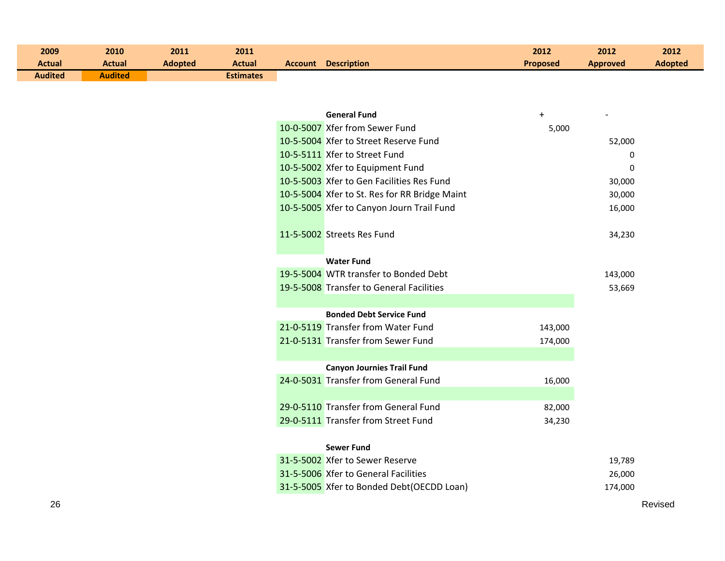| 2009              | 2010           | 2011           | 2011             |  |                                               | 2012     | 2012            | 2012           |
|-------------------|----------------|----------------|------------------|--|-----------------------------------------------|----------|-----------------|----------------|
| <b>Actual</b>     | <b>Actual</b>  | <b>Adopted</b> | <b>Actual</b>    |  | <b>Account Description</b>                    | Proposed | <b>Approved</b> | <b>Adopted</b> |
| <b>Audited</b>    | <b>Audited</b> |                | <b>Estimates</b> |  |                                               |          |                 |                |
|                   |                |                |                  |  |                                               |          |                 |                |
|                   |                |                |                  |  |                                               |          |                 |                |
|                   |                |                |                  |  | <b>General Fund</b>                           | $+$      |                 |                |
|                   |                |                |                  |  | 10-0-5007 Xfer from Sewer Fund                | 5,000    |                 |                |
|                   |                |                |                  |  | 10-5-5004 Xfer to Street Reserve Fund         |          | 52,000          |                |
|                   |                |                |                  |  | 10-5-5111 Xfer to Street Fund                 |          | 0               |                |
|                   |                |                |                  |  | 10-5-5002 Xfer to Equipment Fund              |          | $\mathbf 0$     |                |
|                   |                |                |                  |  | 10-5-5003 Xfer to Gen Facilities Res Fund     |          | 30,000          |                |
|                   |                |                |                  |  | 10-5-5004 Xfer to St. Res for RR Bridge Maint |          | 30,000          |                |
|                   |                |                |                  |  | 10-5-5005 Xfer to Canyon Journ Trail Fund     |          | 16,000          |                |
|                   |                |                |                  |  |                                               |          |                 |                |
|                   |                |                |                  |  | 11-5-5002 Streets Res Fund                    |          | 34,230          |                |
|                   |                |                |                  |  |                                               |          |                 |                |
|                   |                |                |                  |  | <b>Water Fund</b>                             |          |                 |                |
|                   |                |                |                  |  | 19-5-5004 WTR transfer to Bonded Debt         |          | 143,000         |                |
|                   |                |                |                  |  | 19-5-5008 Transfer to General Facilities      |          | 53,669          |                |
|                   |                |                |                  |  |                                               |          |                 |                |
|                   |                |                |                  |  | <b>Bonded Debt Service Fund</b>               |          |                 |                |
|                   |                |                |                  |  | 21-0-5119 Transfer from Water Fund            | 143,000  |                 |                |
|                   |                |                |                  |  | 21-0-5131 Transfer from Sewer Fund            | 174,000  |                 |                |
|                   |                |                |                  |  |                                               |          |                 |                |
|                   |                |                |                  |  | <b>Canyon Journies Trail Fund</b>             |          |                 |                |
|                   |                |                |                  |  | 24-0-5031 Transfer from General Fund          | 16,000   |                 |                |
|                   |                |                |                  |  |                                               |          |                 |                |
|                   |                |                |                  |  | 29-0-5110 Transfer from General Fund          | 82,000   |                 |                |
|                   |                |                |                  |  | 29-0-5111 Transfer from Street Fund           | 34,230   |                 |                |
|                   |                |                |                  |  |                                               |          |                 |                |
| <b>Sewer Fund</b> |                |                |                  |  |                                               |          |                 |                |
|                   |                |                |                  |  | 31-5-5002 Xfer to Sewer Reserve               |          | 19,789          |                |
|                   |                |                |                  |  | 31-5-5006 Xfer to General Facilities          |          | 26,000          |                |
|                   |                |                |                  |  | 31-5-5005 Xfer to Bonded Debt(OECDD Loan)     |          | 174,000         |                |
| 26                |                |                |                  |  |                                               |          |                 | Revised        |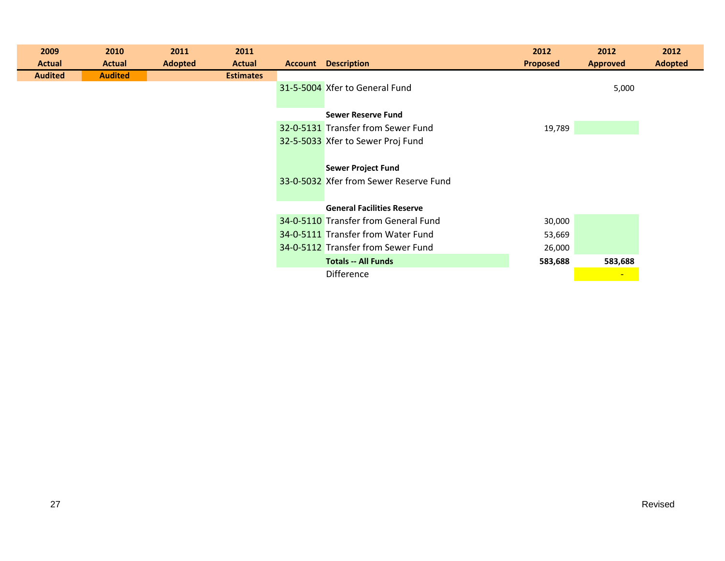| 2009           | 2010           | 2011    | 2011             |                                        | 2012            | 2012            | 2012           |
|----------------|----------------|---------|------------------|----------------------------------------|-----------------|-----------------|----------------|
| <b>Actual</b>  | <b>Actual</b>  | Adopted | <b>Actual</b>    | <b>Account Description</b>             | <b>Proposed</b> | <b>Approved</b> | <b>Adopted</b> |
| <b>Audited</b> | <b>Audited</b> |         | <b>Estimates</b> |                                        |                 |                 |                |
|                |                |         |                  | 31-5-5004 Xfer to General Fund         |                 | 5,000           |                |
|                |                |         |                  |                                        |                 |                 |                |
|                |                |         |                  | <b>Sewer Reserve Fund</b>              |                 |                 |                |
|                |                |         |                  | 32-0-5131 Transfer from Sewer Fund     | 19,789          |                 |                |
|                |                |         |                  | 32-5-5033 Xfer to Sewer Proj Fund      |                 |                 |                |
|                |                |         |                  |                                        |                 |                 |                |
|                |                |         |                  | <b>Sewer Project Fund</b>              |                 |                 |                |
|                |                |         |                  | 33-0-5032 Xfer from Sewer Reserve Fund |                 |                 |                |
|                |                |         |                  |                                        |                 |                 |                |
|                |                |         |                  | <b>General Facilities Reserve</b>      |                 |                 |                |
|                |                |         |                  | 34-0-5110 Transfer from General Fund   | 30,000          |                 |                |
|                |                |         |                  | 34-0-5111 Transfer from Water Fund     | 53,669          |                 |                |
|                |                |         |                  | 34-0-5112 Transfer from Sewer Fund     | 26,000          |                 |                |
|                |                |         |                  | <b>Totals -- All Funds</b>             | 583,688         | 583,688         |                |
|                |                |         |                  | <b>Difference</b>                      |                 | $\blacksquare$  |                |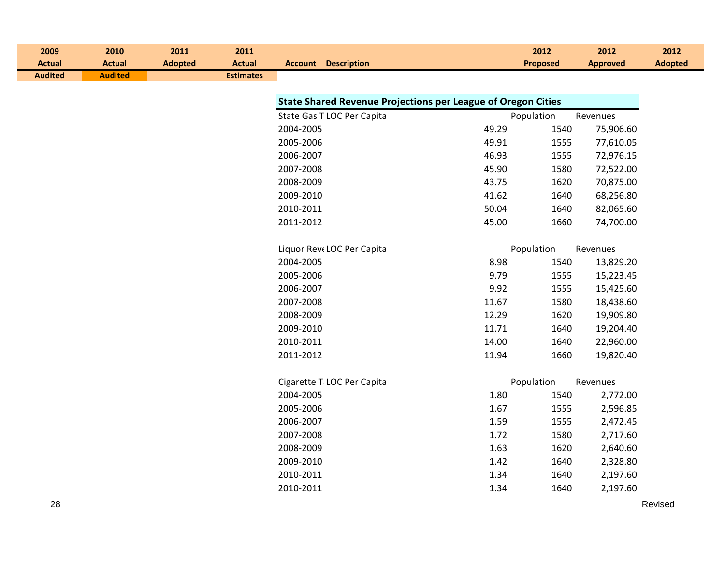| 2009<br><b>Actual</b> | 2010<br><b>Actual</b> | 2011<br><b>Adopted</b> | 2011<br><b>Actual</b> | <b>Account Description</b> |                                                                     | 2012<br><b>Proposed</b> | 2012<br><b>Approved</b> | 2012<br><b>Adopted</b> |
|-----------------------|-----------------------|------------------------|-----------------------|----------------------------|---------------------------------------------------------------------|-------------------------|-------------------------|------------------------|
| <b>Audited</b>        | <b>Audited</b>        |                        | <b>Estimates</b>      |                            |                                                                     |                         |                         |                        |
|                       |                       |                        |                       |                            |                                                                     |                         |                         |                        |
|                       |                       |                        |                       |                            | <b>State Shared Revenue Projections per League of Oregon Cities</b> |                         |                         |                        |
|                       |                       |                        |                       | State Gas T LOC Per Capita |                                                                     | Population              | Revenues                |                        |
|                       |                       |                        |                       | 2004-2005                  | 49.29                                                               | 1540                    | 75,906.60               |                        |
|                       |                       |                        |                       | 2005-2006                  | 49.91                                                               | 1555                    | 77,610.05               |                        |
|                       |                       |                        |                       | 2006-2007                  | 46.93                                                               | 1555                    | 72,976.15               |                        |
|                       |                       |                        |                       | 2007-2008                  | 45.90                                                               | 1580                    | 72,522.00               |                        |
|                       |                       |                        |                       | 2008-2009                  | 43.75                                                               | 1620                    | 70,875.00               |                        |
|                       |                       |                        |                       | 2009-2010                  | 41.62                                                               | 1640                    | 68,256.80               |                        |
|                       |                       |                        |                       | 2010-2011                  | 50.04                                                               | 1640                    | 82,065.60               |                        |
|                       |                       |                        |                       | 2011-2012                  | 45.00                                                               | 1660                    | 74,700.00               |                        |
|                       |                       |                        |                       |                            |                                                                     |                         |                         |                        |
|                       |                       |                        |                       | Liquor Reve LOC Per Capita |                                                                     | Population              | Revenues                |                        |
|                       |                       |                        |                       | 2004-2005                  | 8.98                                                                | 1540                    | 13,829.20               |                        |
|                       |                       |                        |                       | 2005-2006                  | 9.79                                                                | 1555                    | 15,223.45               |                        |
|                       |                       |                        |                       | 2006-2007                  | 9.92                                                                | 1555                    | 15,425.60               |                        |
|                       |                       |                        |                       | 2007-2008                  | 11.67                                                               | 1580                    | 18,438.60               |                        |
|                       |                       |                        |                       | 2008-2009                  | 12.29                                                               | 1620                    | 19,909.80               |                        |
|                       |                       |                        |                       | 2009-2010                  | 11.71                                                               | 1640                    | 19,204.40               |                        |
|                       |                       |                        |                       | 2010-2011                  | 14.00                                                               | 1640                    | 22,960.00               |                        |
|                       |                       |                        |                       | 2011-2012                  | 11.94                                                               | 1660                    | 19,820.40               |                        |
|                       |                       |                        |                       |                            |                                                                     |                         |                         |                        |
|                       |                       |                        |                       | Cigarette T LOC Per Capita |                                                                     | Population              | Revenues                |                        |
|                       |                       |                        |                       | 2004-2005                  | 1.80                                                                | 1540                    | 2,772.00                |                        |
|                       |                       |                        |                       | 2005-2006                  | 1.67                                                                | 1555                    | 2,596.85                |                        |
|                       |                       |                        |                       | 2006-2007                  | 1.59                                                                | 1555                    | 2,472.45                |                        |
|                       |                       |                        |                       | 2007-2008                  | 1.72                                                                | 1580                    | 2,717.60                |                        |
|                       |                       |                        |                       | 2008-2009                  | 1.63                                                                | 1620                    | 2,640.60                |                        |
|                       |                       |                        |                       | 2009-2010                  | 1.42                                                                | 1640                    | 2,328.80                |                        |
|                       |                       |                        |                       | 2010-2011                  | 1.34                                                                | 1640                    | 2,197.60                |                        |
|                       |                       |                        |                       | 2010-2011                  | 1.34                                                                | 1640                    | 2,197.60                |                        |
| 28                    |                       |                        |                       |                            |                                                                     |                         |                         | Revised                |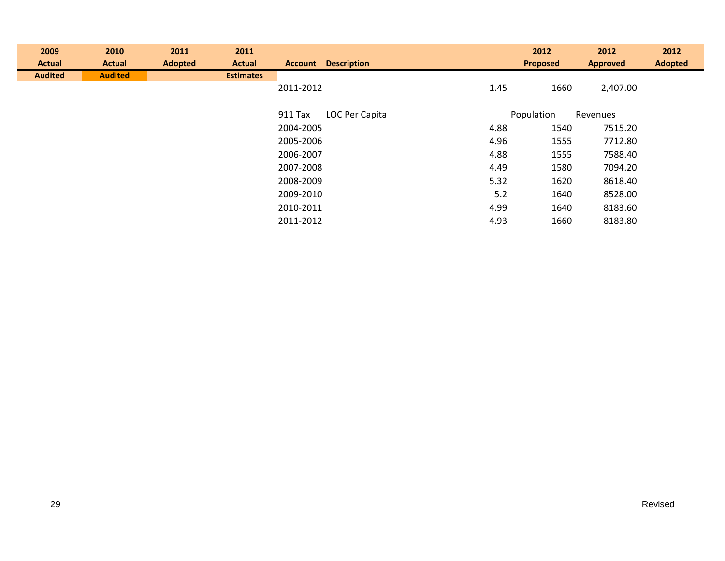| 2009           | 2010           | 2011           | 2011             |           |                            |      | 2012            | 2012            | 2012           |
|----------------|----------------|----------------|------------------|-----------|----------------------------|------|-----------------|-----------------|----------------|
| <b>Actual</b>  | <b>Actual</b>  | <b>Adopted</b> | <b>Actual</b>    |           | <b>Account Description</b> |      | <b>Proposed</b> | <b>Approved</b> | <b>Adopted</b> |
| <b>Audited</b> | <b>Audited</b> |                | <b>Estimates</b> |           |                            |      |                 |                 |                |
|                |                |                |                  | 2011-2012 |                            | 1.45 | 1660            | 2,407.00        |                |
|                |                |                |                  |           |                            |      |                 |                 |                |
|                |                |                |                  | 911 Tax   | LOC Per Capita             |      | Population      | Revenues        |                |
|                |                |                |                  | 2004-2005 |                            | 4.88 | 1540            | 7515.20         |                |
|                |                |                |                  | 2005-2006 |                            | 4.96 | 1555            | 7712.80         |                |
|                |                |                |                  | 2006-2007 |                            | 4.88 | 1555            | 7588.40         |                |
|                |                |                |                  | 2007-2008 |                            | 4.49 | 1580            | 7094.20         |                |
|                |                |                |                  | 2008-2009 |                            | 5.32 | 1620            | 8618.40         |                |
|                |                |                |                  | 2009-2010 |                            | 5.2  | 1640            | 8528.00         |                |
|                |                |                |                  | 2010-2011 |                            | 4.99 | 1640            | 8183.60         |                |
|                |                |                |                  | 2011-2012 |                            | 4.93 | 1660            | 8183.80         |                |